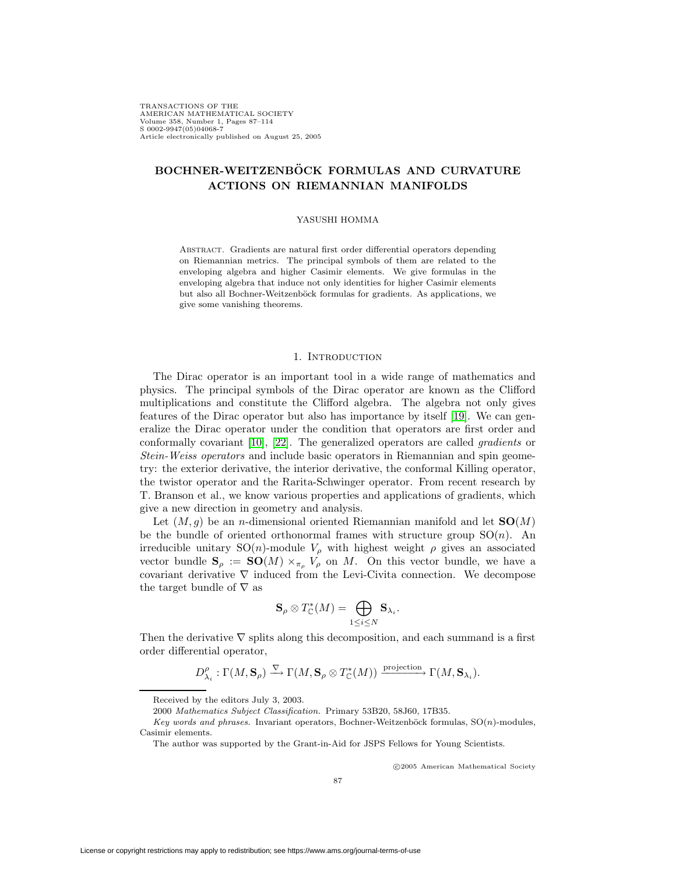TRANSACTIONS OF THE AMERICAN MATHEMATICAL SOCIETY Volume 358, Number 1, Pages 87–114 S 0002-9947(05)04068-7 Article electronically published on August 25, 2005

# **BOCHNER-WEITZENBOCK FORMULAS AND CURVATURE ¨ ACTIONS ON RIEMANNIAN MANIFOLDS**

### YASUSHI HOMMA

Abstract. Gradients are natural first order differential operators depending on Riemannian metrics. The principal symbols of them are related to the enveloping algebra and higher Casimir elements. We give formulas in the enveloping algebra that induce not only identities for higher Casimir elements but also all Bochner-Weitzenböck formulas for gradients. As applications, we give some vanishing theorems.

### 1. INTRODUCTION

The Dirac operator is an important tool in a wide range of mathematics and physics. The principal symbols of the Dirac operator are known as the Clifford multiplications and constitute the Clifford algebra. The algebra not only gives features of the Dirac operator but also has importance by itself [\[19\]](#page-27-0). We can generalize the Dirac operator under the condition that operators are first order and conformally covariant [\[10\]](#page-27-1), [\[22\]](#page-27-2). The generalized operators are called gradients or Stein-Weiss operators and include basic operators in Riemannian and spin geometry: the exterior derivative, the interior derivative, the conformal Killing operator, the twistor operator and the Rarita-Schwinger operator. From recent research by T. Branson et al., we know various properties and applications of gradients, which give a new direction in geometry and analysis.

Let  $(M, g)$  be an *n*-dimensional oriented Riemannian manifold and let  $SO(M)$ be the bundle of oriented orthonormal frames with structure group  $SO(n)$ . An irreducible unitary  $SO(n)$ -module  $V_{\rho}$  with highest weight  $\rho$  gives an associated vector bundle  $S_\rho := SO(M) \times_{\pi_\rho} V_\rho$  on M. On this vector bundle, we have a covariant derivative  $\nabla$  induced from the Levi-Civita connection. We decompose the target bundle of  $\nabla$  as

$$
\mathbf{S}_{\rho} \otimes T_{\mathbb{C}}^*(M) = \bigoplus_{1 \leq i \leq N} \mathbf{S}_{\lambda_i}.
$$

Then the derivative  $\nabla$  splits along this decomposition, and each summand is a first order differential operator,

$$
D_{\lambda_i}^{\rho}: \Gamma(M, \mathbf{S}_{\rho}) \xrightarrow{\nabla} \Gamma(M, \mathbf{S}_{\rho} \otimes T_{\mathbb{C}}^*(M)) \xrightarrow{\text{projection}} \Gamma(M, \mathbf{S}_{\lambda_i}).
$$

c 2005 American Mathematical Society

Received by the editors July 3, 2003.

<sup>2000</sup> Mathematics Subject Classification. Primary 53B20, 58J60, 17B35.

Key words and phrases. Invariant operators, Bochner-Weitzenböck formulas,  $SO(n)$ -modules, Casimir elements.

The author was supported by the Grant-in-Aid for JSPS Fellows for Young Scientists.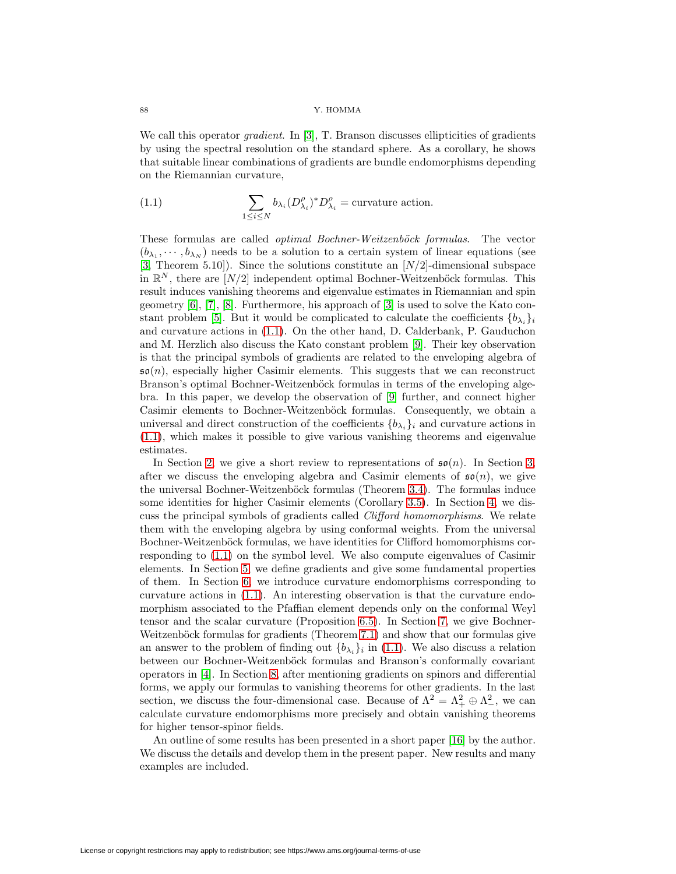#### 88 Y. HOMMA

We call this operator *gradient*. In [\[3\]](#page-26-0), T. Branson discusses ellipticities of gradients by using the spectral resolution on the standard sphere. As a corollary, he shows that suitable linear combinations of gradients are bundle endomorphisms depending on the Riemannian curvature,

<span id="page-1-0"></span>(1.1) 
$$
\sum_{1 \leq i \leq N} b_{\lambda_i} (D_{\lambda_i}^{\rho})^* D_{\lambda_i}^{\rho} = \text{curvature action}.
$$

These formulas are called *optimal Bochner-Weitzenböck formulas*. The vector  $(b_{\lambda_1}, \dots, b_{\lambda_N})$  needs to be a solution to a certain system of linear equations (see [\[3,](#page-26-0) Theorem 5.10]). Since the solutions constitute an  $[N/2]$ -dimensional subspace in  $\mathbb{R}^N$ , there are  $[N/2]$  independent optimal Bochner-Weitzenböck formulas. This result induces vanishing theorems and eigenvalue estimates in Riemannian and spin geometry  $[6]$ ,  $[7]$ ,  $[8]$ . Furthermore, his approach of  $[3]$  is used to solve the Kato con-stant problem [\[5\]](#page-27-6). But it would be complicated to calculate the coefficients  $\{b_{\lambda_i}\}_i$ and curvature actions in [\(1.1\)](#page-1-0). On the other hand, D. Calderbank, P. Gauduchon and M. Herzlich also discuss the Kato constant problem [\[9\]](#page-27-7). Their key observation is that the principal symbols of gradients are related to the enveloping algebra of  $\mathfrak{so}(n)$ , especially higher Casimir elements. This suggests that we can reconstruct Branson's optimal Bochner-Weitzenböck formulas in terms of the enveloping algebra. In this paper, we develop the observation of [\[9\]](#page-27-7) further, and connect higher Casimir elements to Bochner-Weitzenböck formulas. Consequently, we obtain a universal and direct construction of the coefficients  $\{b_{\lambda_i}\}\$ i and curvature actions in [\(1.1\)](#page-1-0), which makes it possible to give various vanishing theorems and eigenvalue estimates.

In Section [2,](#page-2-0) we give a short review to representations of  $\mathfrak{so}(n)$ . In Section [3,](#page-3-0) after we discuss the enveloping algebra and Casimir elements of  $\mathfrak{so}(n)$ , we give the universal Bochner-Weitzenböck formulas (Theorem [3.4\)](#page-5-0). The formulas induce some identities for higher Casimir elements (Corollary [3.5\)](#page-6-0). In Section [4,](#page-6-1) we discuss the principal symbols of gradients called Clifford homomorphisms. We relate them with the enveloping algebra by using conformal weights. From the universal Bochner-Weitzenböck formulas, we have identities for Clifford homomorphisms corresponding to [\(1.1\)](#page-1-0) on the symbol level. We also compute eigenvalues of Casimir elements. In Section [5,](#page-14-0) we define gradients and give some fundamental properties of them. In Section [6,](#page-16-0) we introduce curvature endomorphisms corresponding to curvature actions in [\(1.1\)](#page-1-0). An interesting observation is that the curvature endomorphism associated to the Pfaffian element depends only on the conformal Weyl tensor and the scalar curvature (Proposition [6.5\)](#page-18-0). In Section [7,](#page-18-1) we give Bochner-Weitzenböck formulas for gradients (Theorem [7.1\)](#page-18-2) and show that our formulas give an answer to the problem of finding out  $\{b_{\lambda_i}\}\$ in [\(1.1\)](#page-1-0). We also discuss a relation between our Bochner-Weitzenböck formulas and Branson's conformally covariant operators in [\[4\]](#page-26-1). In Section [8,](#page-21-0) after mentioning gradients on spinors and differential forms, we apply our formulas to vanishing theorems for other gradients. In the last section, we discuss the four-dimensional case. Because of  $\Lambda^2 = \Lambda^2 + \oplus \Lambda^2$ , we can calculate curvature endomorphisms more precisely and obtain vanishing theorems for higher tensor-spinor fields.

An outline of some results has been presented in a short paper [\[16\]](#page-27-8) by the author. We discuss the details and develop them in the present paper. New results and many examples are included.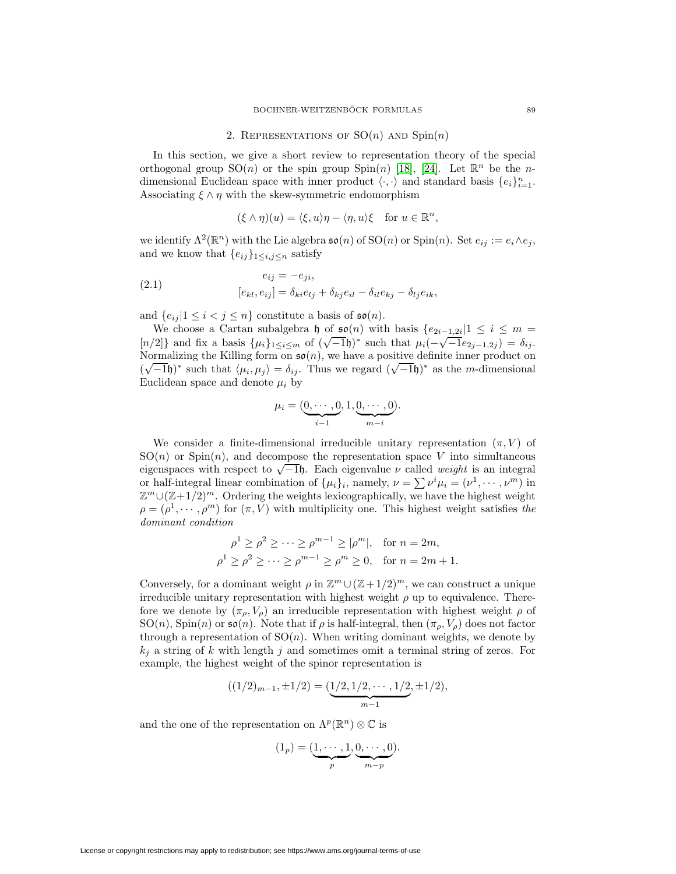## 2. REPRESENTATIONS OF  $SO(n)$  AND  $Spin(n)$

<span id="page-2-0"></span>In this section, we give a short review to representation theory of the special orthogonal group  $SO(n)$  or the spin group  $Spin(n)$  [\[18\]](#page-27-9), [\[24\]](#page-27-10). Let  $\mathbb{R}^n$  be the *n*dimensional Euclidean space with inner product  $\langle \cdot, \cdot \rangle$  and standard basis  $\{e_i\}_{i=1}^n$ . Associating  $\xi \wedge \eta$  with the skew-symmetric endomorphism

<span id="page-2-1"></span>
$$
(\xi \wedge \eta)(u) = \langle \xi, u \rangle \eta - \langle \eta, u \rangle \xi \quad \text{for } u \in \mathbb{R}^n,
$$

we identify  $\Lambda^2(\mathbb{R}^n)$  with the Lie algebra  $\mathfrak{so}(n)$  of  $\mathrm{SO}(n)$  or  $\mathrm{Spin}(n)$ . Set  $e_{ij} := e_i \wedge e_j$ , and we know that  $\{e_{ij}\}_{1\leq i,j\leq n}$  satisfy

(2.1) 
$$
e_{ij} = -e_{ji},
$$

$$
[e_{kl}, e_{ij}] = \delta_{ki}e_{lj} + \delta_{kj}e_{il} - \delta_{il}e_{kj} - \delta_{lj}e_{ik},
$$

and  $\{e_{ij} | 1 \leq i < j \leq n\}$  constitute a basis of  $\mathfrak{so}(n)$ .

We choose a Cartan subalgebra h of  $\mathfrak{so}(n)$  with basis  $\{e_{2i-1,2i}|1 \leq i \leq m =$ We choose a Cartan subalgebra if of  $\mathfrak{so}(n)$  with basis  $\{e_{2i-1,2i}|1 \leq i \leq m-$ <br>[n/2]} and fix a basis  $\{\mu_i\}_{1 \leq i \leq m}$  of  $(\sqrt{-1}\mathfrak{h})^*$  such that  $\mu_i(-\sqrt{-1}e_{2j-1,2j}) = \delta_{ij}$ . Normalizing the Killing form on  $\mathfrak{so}(n)$ , we have a positive definite inner product on Normanizing the Kning form on  $\mathfrak{so}(n)$ , we have a positive definite filter product on  $(\sqrt{-1}\mathfrak{h})^*$  such that  $\langle \mu_i, \mu_j \rangle = \delta_{ij}$ . Thus we regard  $(\sqrt{-1}\mathfrak{h})^*$  as the *m*-dimensional Euclidean space and denote  $\mu_i$  by

$$
\mu_i = (\underbrace{0, \cdots, 0}_{i-1}, 1, \underbrace{0, \cdots, 0}_{m-i}).
$$

We consider a finite-dimensional irreducible unitary representation  $(\pi, V)$  of  $SO(n)$  or  $Spin(n)$ , and decompose the representation space V into simultaneous eigenspaces with respect to  $\sqrt{-1}$ , Each eigenvalue  $\nu$  called weight is an integral or half-integral linear combination of  $\{\mu_i\}_i$ , namely,  $\nu = \sum \nu^i \mu_i = (\nu^1, \dots, \nu^m)$  in  $\mathbb{Z}^m \cup (\mathbb{Z}+1/2)^m$ . Ordering the weights lexicographically, we have the highest weight  $\rho = (\rho^1, \dots, \rho^m)$  for  $(\pi, V)$  with multiplicity one. This highest weight satisfies the dominant condition

$$
\rho^1 \ge \rho^2 \ge \dots \ge \rho^{m-1} \ge |\rho^m|, \text{ for } n = 2m,
$$
  

$$
\rho^1 \ge \rho^2 \ge \dots \ge \rho^{m-1} \ge \rho^m \ge 0, \text{ for } n = 2m + 1.
$$

Conversely, for a dominant weight  $\rho$  in  $\mathbb{Z}^m \cup (\mathbb{Z}+1/2)^m$ , we can construct a unique irreducible unitary representation with highest weight  $\rho$  up to equivalence. Therefore we denote by  $(\pi_{\rho}, V_{\rho})$  an irreducible representation with highest weight  $\rho$  of  $SO(n)$ , Spin(n) or  $\mathfrak{so}(n)$ . Note that if  $\rho$  is half-integral, then  $(\pi_{\rho}, V_{\rho})$  does not factor through a representation of  $SO(n)$ . When writing dominant weights, we denote by  $k_j$  a string of k with length j and sometimes omit a terminal string of zeros. For example, the highest weight of the spinor representation is

$$
((1/2)_{m-1}, \pm 1/2) = (\underbrace{1/2, 1/2, \cdots, 1/2}_{m-1}, \pm 1/2),
$$

and the one of the representation on  $\Lambda^p(\mathbb{R}^n) \otimes \mathbb{C}$  is

$$
(1_p) = (\underbrace{1, \cdots, 1}_{p}, \underbrace{0, \cdots, 0}_{m-p}).
$$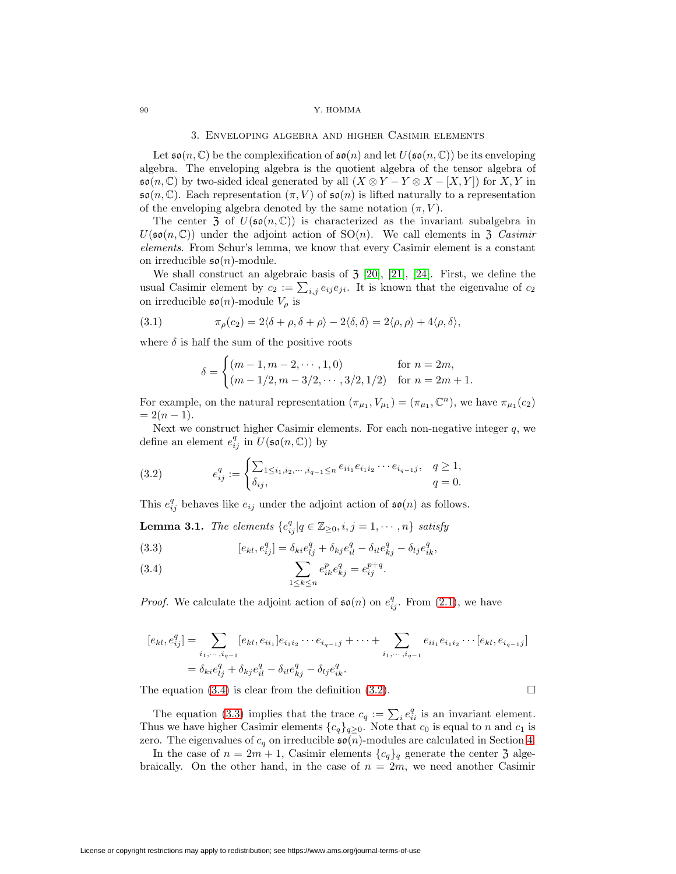#### <span id="page-3-0"></span>90 Y. HOMMA

### 3. Enveloping algebra and higher Casimir elements

Let  $\mathfrak{so}(n,\mathbb{C})$  be the complexification of  $\mathfrak{so}(n)$  and let  $U(\mathfrak{so}(n,\mathbb{C}))$  be its enveloping algebra. The enveloping algebra is the quotient algebra of the tensor algebra of  $\mathfrak{so}(n,\mathbb{C})$  by two-sided ideal generated by all  $(X \otimes Y - Y \otimes X - [X,Y])$  for  $X, Y$  in  $\mathfrak{so}(n,\mathbb{C})$ . Each representation  $(\pi,V)$  of  $\mathfrak{so}(n)$  is lifted naturally to a representation of the enveloping algebra denoted by the same notation  $(\pi, V)$ .

The center 3 of  $U(\mathfrak{so}(n,\mathbb{C}))$  is characterized as the invariant subalgebra in  $U(\mathfrak{so}(n,\mathbb{C}))$  under the adjoint action of  $SO(n)$ . We call elements in 3 Casimir elements. From Schur's lemma, we know that every Casimir element is a constant on irreducible  $\mathfrak{so}(n)$ -module.

We shall construct an algebraic basis of  $\mathfrak{Z}$  [\[20\]](#page-27-11), [\[21\]](#page-27-12), [\[24\]](#page-27-10). First, we define the usual Casimir element by  $c_2 := \sum_{i,j} e_{ij} e_{ji}$ . It is known that the eigenvalue of  $c_2$ on irreducible  $\mathfrak{so}(n)$ -module  $V_{\rho}$  is

(3.1) 
$$
\pi_{\rho}(c_2) = 2\langle \delta + \rho, \delta + \rho \rangle - 2\langle \delta, \delta \rangle = 2\langle \rho, \rho \rangle + 4\langle \rho, \delta \rangle,
$$

where  $\delta$  is half the sum of the positive roots

<span id="page-3-5"></span><span id="page-3-2"></span>
$$
\delta = \begin{cases} (m-1, m-2, \cdots, 1, 0) & \text{for } n = 2m, \\ (m-1/2, m-3/2, \cdots, 3/2, 1/2) & \text{for } n = 2m+1. \end{cases}
$$

For example, on the natural representation  $(\pi_{\mu_1}, V_{\mu_1}) = (\pi_{\mu_1}, \mathbb{C}^n)$ , we have  $\pi_{\mu_1}(c_2)$  $= 2(n-1).$ 

Next we construct higher Casimir elements. For each non-negative integer  $q$ , we define an element  $e_{ij}^q$  in  $\overline{U(\mathfrak{so}(n,\mathbb{C}))}$  by

(3.2) 
$$
e_{ij}^q := \begin{cases} \sum_{1 \le i_1, i_2, \dots, i_{q-1} \le n} e_{ii_1} e_{i_1 i_2} \cdots e_{i_{q-1} j}, & q \ge 1, \\ \delta_{ij}, & q = 0. \end{cases}
$$

<span id="page-3-4"></span>This  $e_{ij}^q$  behaves like  $e_{ij}$  under the adjoint action of  $\mathfrak{so}(n)$  as follows.

**Lemma 3.1.** The elements  ${e_{ij}^q | q \in \mathbb{Z}_{\geq 0}, i, j = 1, \cdots, n}$  satisfy

<span id="page-3-3"></span>(3.3) 
$$
[e_{kl}, e_{ij}^q] = \delta_{ki} e_{lj}^q + \delta_{kj} e_{il}^q - \delta_{il} e_{kj}^q - \delta_{lj} e_{ik}^q,
$$

<span id="page-3-1"></span>(3.4) 
$$
\sum_{1 \le k \le n} e_{ik}^p e_{kj}^q = e_{ij}^{p+q}.
$$

*Proof.* We calculate the adjoint action of  $\mathfrak{so}(n)$  on  $e_{ij}^q$ . From [\(2.1\)](#page-2-1), we have

$$
[e_{kl}, e_{ij}^q] = \sum_{i_1, \dots, i_{q-1}} [e_{kl}, e_{ii_1}] e_{i_1 i_2} \dots e_{i_{q-1} j} + \dots + \sum_{i_1, \dots, i_{q-1}} e_{ii_1} e_{i_1 i_2} \dots [e_{kl}, e_{i_{q-1} j}]
$$
  
=  $\delta_{ki} e_{lj}^q + \delta_{kj} e_{il}^q - \delta_{il} e_{kj}^q - \delta_{lj} e_{ik}^q$ .

The equation  $(3.4)$  is clear from the definition  $(3.2)$ .

The equation [\(3.3\)](#page-3-3) implies that the trace  $c_q := \sum_i e_{ii}^q$  is an invariant element. Thus we have higher Casimir elements  ${c_q}_{q\geq 0}$ . Note that  $c_0$  is equal to n and  $c_1$  is zero. The eigenvalues of  $c_q$  on irreducible  $\mathfrak{so}(n)$ -modules are calculated in Section [4.](#page-6-1)

In the case of  $n = 2m + 1$ , Casimir elements  ${c_q}_q$  generate the center 3 algebraically. On the other hand, in the case of  $n = 2m$ , we need another Casimir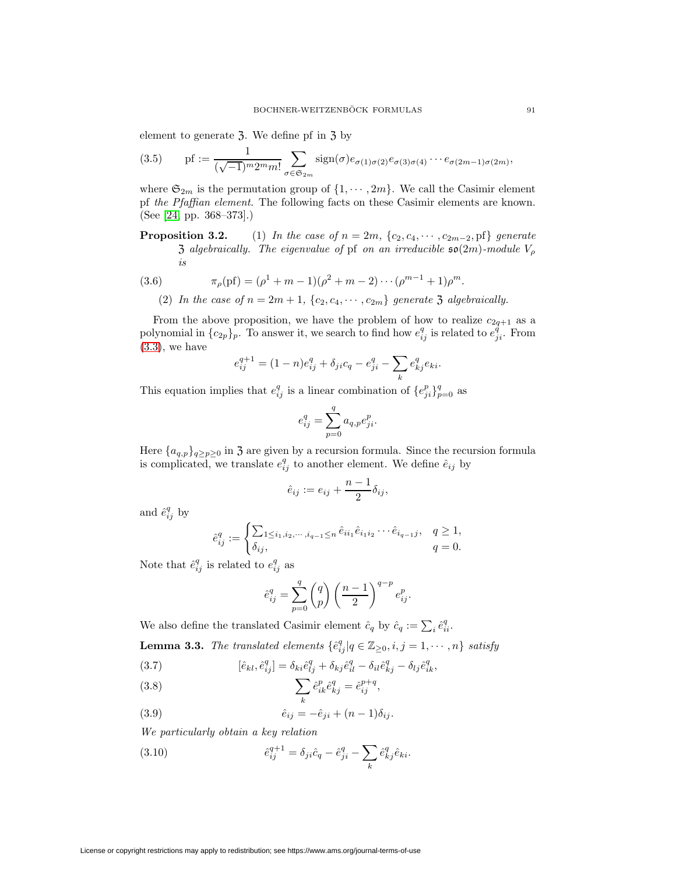<span id="page-4-3"></span>element to generate 3. We define pf in 3 by

(3.5) 
$$
\text{pf} := \frac{1}{(\sqrt{-1})^m 2^m m!} \sum_{\sigma \in \mathfrak{S}_{2m}} \text{sign}(\sigma) e_{\sigma(1)\sigma(2)} e_{\sigma(3)\sigma(4)} \cdots e_{\sigma(2m-1)\sigma(2m)},
$$

where  $\mathfrak{S}_{2m}$  is the permutation group of  $\{1, \cdots, 2m\}$ . We call the Casimir element pf the Pfaffian element. The following facts on these Casimir elements are known. (See [\[24,](#page-27-10) pp. 368–373].)

**Proposition 3.2.** (1) In the case of  $n = 2m$ ,  $\{c_2, c_4, \dots, c_{2m-2}, \text{pf}\}\$  generate 3 algebraically. The eigenvalue of pf on an irreducible  $\mathfrak{so}(2m)$ -module  $V_{\rho}$ is

<span id="page-4-4"></span>(3.6) 
$$
\pi_{\rho}(\text{pf}) = (\rho^1 + m - 1)(\rho^2 + m - 2) \cdots (\rho^{m-1} + 1)\rho^m.
$$

(2) In the case of  $n = 2m + 1$ ,  $\{c_2, c_4, \cdots, c_{2m}\}\$  generate 3 algebraically.

From the above proposition, we have the problem of how to realize  $c_{2q+1}$  as a polynomial in  $\{c_{2p}\}_p$ . To answer it, we search to find how  $e_{ij}^q$  is related to  $e_{ji}^q$ . From  $(3.3)$ , we have

$$
e_{ij}^{q+1} = (1-n)e_{ij}^q + \delta_{ji}c_q - e_{ji}^q - \sum_k e_{kj}^q e_{ki}.
$$

This equation implies that  $e_{ij}^q$  is a linear combination of  $\{e_{ji}^p\}_{p=0}^q$  as

$$
e_{ij}^q = \sum_{p=0}^q a_{q,p} e_{ji}^p.
$$

Here  ${a_{q,p}}_{q\geq p\geq 0}$  in 3 are given by a recursion formula. Since the recursion formula is complicated, we translate  $e_{ij}^q$  to another element. We define  $\hat{e}_{ij}$  by

$$
\hat{e}_{ij} := e_{ij} + \frac{n-1}{2} \delta_{ij},
$$

and  $\hat{e}_{ij}^q$  by

$$
\hat{e}_{ij}^q := \begin{cases} \sum_{1 \le i_1, i_2, \cdots, i_{q-1} \le n} \hat{e}_{ii_1} \hat{e}_{i_1 i_2} \cdots \hat{e}_{i_{q-1} j}, & q \ge 1, \\ \delta_{ij}, & q = 0. \end{cases}
$$

Note that  $\hat{e}_{ij}^q$  is related to  $e_{ij}^q$  as

$$
\hat{e}_{ij}^q = \sum_{p=0}^q \binom{q}{p} \left(\frac{n-1}{2}\right)^{q-p} e_{ij}^p.
$$

We also define the translated Casimir element  $\hat{c}_q$  by  $\hat{c}_q := \sum_i \hat{e}_{ii}^q$ . **Lemma 3.3.** The translated elements  $\{\hat{e}_{ij}^q | q \in \mathbb{Z}_{\geq 0}, i, j = 1, \cdots, n\}$  satisfy

<span id="page-4-0"></span>(3.7) 
$$
[\hat{e}_{kl}, \hat{e}_{ij}^q] = \delta_{ki}\hat{e}_{ij}^q + \delta_{kj}\hat{e}_{il}^q - \delta_{il}\hat{e}_{kj}^q - \delta_{lj}\hat{e}_{ik}^q,
$$

(3.8) 
$$
\sum_{k} \hat{e}_{ik}^{p} \hat{e}_{kj}^{q} = \hat{e}_{ij}^{p+q},
$$

<span id="page-4-1"></span>(3.9) 
$$
\hat{e}_{ij} = -\hat{e}_{ji} + (n-1)\delta_{ij}.
$$

<span id="page-4-2"></span>We particularly obtain a key relation

(3.10) 
$$
\hat{e}_{ij}^{q+1} = \delta_{ji}\hat{c}_q - \hat{e}_{ji}^q - \sum_k \hat{e}_{kj}^q \hat{e}_{ki}.
$$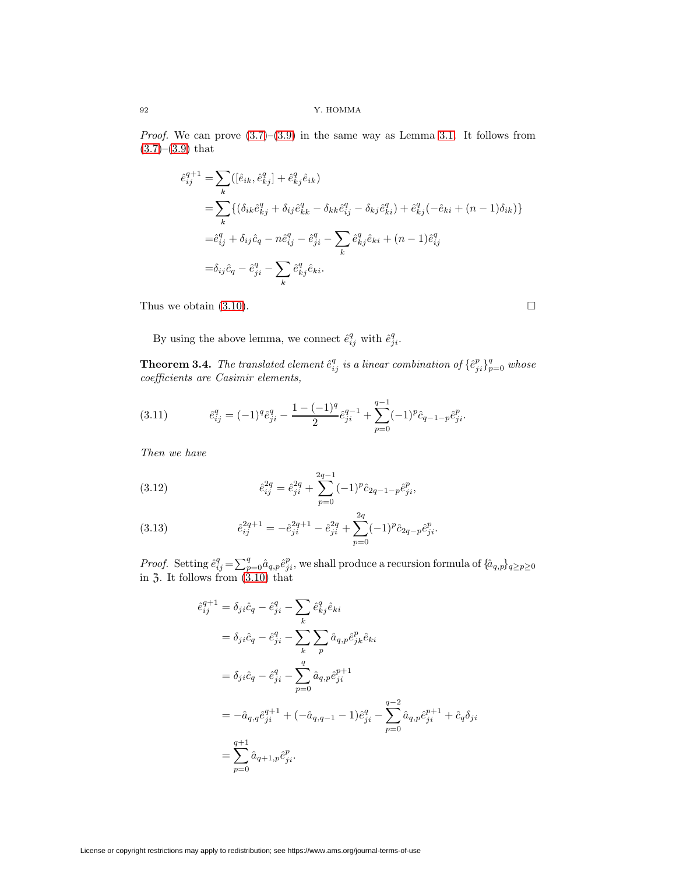92 Y. HOMMA

*Proof.* We can prove  $(3.7)$ – $(3.9)$  in the same way as Lemma [3.1.](#page-3-4) It follows from  $(3.7)–(3.9)$  $(3.7)–(3.9)$  $(3.7)–(3.9)$  that

$$
\hat{e}_{ij}^{q+1} = \sum_{k} ([\hat{e}_{ik}, \hat{e}_{kj}^q] + \hat{e}_{kj}^q \hat{e}_{ik})
$$
\n
$$
= \sum_{k} \{ (\delta_{ik}\hat{e}_{kj}^q + \delta_{ij}\hat{e}_{kk}^q - \delta_{kk}\hat{e}_{ij}^q - \delta_{kj}\hat{e}_{ki}^q) + \hat{e}_{kj}^q (-\hat{e}_{ki} + (n-1)\delta_{ik}) \}
$$
\n
$$
= \hat{e}_{ij}^q + \delta_{ij}\hat{c}_q - n\hat{e}_{ij}^q - \hat{e}_{ji}^q - \sum_{k} \hat{e}_{kj}^q \hat{e}_{ki} + (n-1)\hat{e}_{ij}^q
$$
\n
$$
= \delta_{ij}\hat{c}_q - \hat{e}_{ji}^q - \sum_{k} \hat{e}_{kj}^q \hat{e}_{ki}.
$$

Thus we obtain  $(3.10)$ .

<span id="page-5-1"></span>By using the above lemma, we connect  $\hat{e}_{ij}^q$  with  $\hat{e}_{ji}^q$ .

<span id="page-5-0"></span>**Theorem 3.4.** The translated element  $\hat{e}_{ij}^q$  is a linear combination of  $\{\hat{e}_{ji}^p\}_{p=0}^q$  whose coefficients are Casimir elements,

(3.11) 
$$
\hat{e}_{ij}^q = (-1)^q \hat{e}_{ji}^q - \frac{1 - (-1)^q}{2} \hat{e}_{ji}^{q-1} + \sum_{p=0}^{q-1} (-1)^p \hat{c}_{q-1-p} \hat{e}_{ji}^p.
$$

Then we have

<span id="page-5-3"></span>(3.12) 
$$
\hat{e}_{ij}^{2q} = \hat{e}_{ji}^{2q} + \sum_{p=0}^{2q-1} (-1)^p \hat{c}_{2q-1-p} \hat{e}_{ji}^p,
$$

<span id="page-5-2"></span>(3.13) 
$$
\hat{e}_{ij}^{2q+1} = -\hat{e}_{ji}^{2q+1} - \hat{e}_{ji}^{2q} + \sum_{p=0}^{2q} (-1)^p \hat{c}_{2q-p} \hat{e}_{ji}^p.
$$

*Proof.* Setting  $\hat{e}_{ij}^q = \sum_{p=0}^q \hat{a}_{q,p} \hat{e}_{ji}^p$ , we shall produce a recursion formula of  $\{\hat{a}_{q,p}\}_{q\geq p\geq 0}$ in  $3$ . It follows from  $(3.10)$  that

$$
\begin{split} \hat{e}_{ij}^{q+1} &= \delta_{ji}\hat{c}_q - \hat{e}_{ji}^q - \sum_k \hat{e}_{kj}^q \hat{e}_{ki} \\ &= \delta_{ji}\hat{c}_q - \hat{e}_{ji}^q - \sum_k \sum_p \hat{a}_{q,p} \hat{e}_{jk}^p \hat{e}_{ki} \\ &= \delta_{ji}\hat{c}_q - \hat{e}_{ji}^q - \sum_{p=0}^q \hat{a}_{q,p} \hat{e}_{ji}^{p+1} \\ &= -\hat{a}_{q,q} \hat{e}_{ji}^{q+1} + (-\hat{a}_{q,q-1} - 1) \hat{e}_{ji}^q - \sum_{p=0}^{q-2} \hat{a}_{q,p} \hat{e}_{ji}^{p+1} + \hat{c}_q \delta_{ji} \\ &= \sum_{p=0}^{q+1} \hat{a}_{q+1,p} \hat{e}_{ji}^p. \end{split}
$$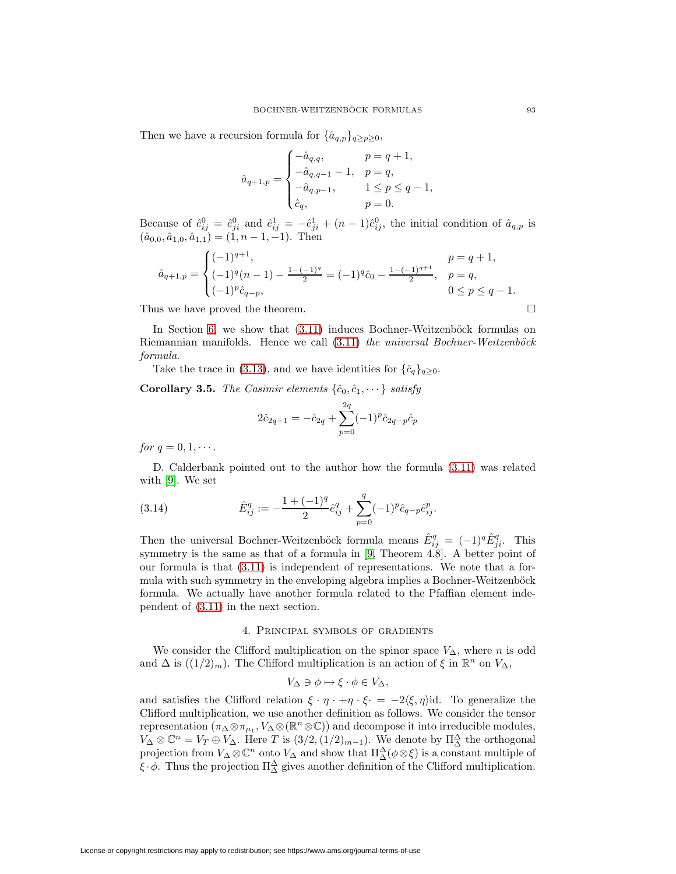Then we have a recursion formula for  $\{\hat{a}_{q,p}\}_{q>p>0}$ ,

$$
\hat{a}_{q+1,p} = \begin{cases}\n-\hat{a}_{q,q}, & p = q+1, \\
-\hat{a}_{q,q-1} - 1, & p = q, \\
-\hat{a}_{q,p-1}, & 1 \le p \le q-1, \\
\hat{c}_q, & p = 0.\n\end{cases}
$$

Because of  $\hat{e}_{ij}^0 = \hat{e}_{ji}^0$  and  $\hat{e}_{ij}^1 = -\hat{e}_{ji}^1 + (n-1)\hat{e}_{ij}^0$ , the initial condition of  $\hat{a}_{q,p}$  is  $(\hat{a}_{0,0}, \hat{a}_{1,0}, \hat{a}_{1,1}) = (1, n-1, -1)$ . Then

$$
\hat{a}_{q+1,p} = \begin{cases}\n(-1)^{q+1}, & p = q+1, \\
(-1)^{q}(n-1) - \frac{1-(-1)^{q}}{2} = (-1)^{q}\hat{c}_0 - \frac{1-(-1)^{q+1}}{2}, & p = q, \\
(-1)^{p}\hat{c}_{q-p}, & 0 \le p \le q-1.\n\end{cases}
$$

Thus we have proved the theorem.

In Section [6,](#page-16-0) we show that  $(3.11)$  induces Bochner-Weitzenböck formulas on Riemannian manifolds. Hence we call  $(3.11)$  the universal Bochner-Weitzenböck formula.

Take the trace in [\(3.13\)](#page-5-2), and we have identities for  $\{\hat{c}_q\}_{q>0}$ .

<span id="page-6-0"></span>**Corollary 3.5.** The Casimir elements  $\{\hat{c}_0, \hat{c}_1, \dots\}$  satisfy

$$
2\hat{c}_{2q+1} = -\hat{c}_{2q} + \sum_{p=0}^{2q} (-1)^p \hat{c}_{2q-p} \hat{c}_p
$$

for  $q = 0, 1, \cdots$ .

<span id="page-6-2"></span>D. Calderbank pointed out to the author how the formula [\(3.11\)](#page-5-1) was related with [\[9\]](#page-27-7). We set

(3.14) 
$$
\hat{E}_{ij}^q := -\frac{1 + (-1)^q}{2} \hat{e}_{ij}^q + \sum_{p=0}^q (-1)^p \hat{c}_{q-p} \hat{e}_{ij}^p.
$$

Then the universal Bochner-Weitzenböck formula means  $\hat{E}_{ij}^q = (-1)^q \hat{E}_{ji}^q$ . This symmetry is the same as that of a formula in [\[9,](#page-27-7) Theorem 4.8]. A better point of our formula is that [\(3.11\)](#page-5-1) is independent of representations. We note that a formula with such symmetry in the enveloping algebra implies a Bochner-Weitzenböck formula. We actually have another formula related to the Pfaffian element independent of [\(3.11\)](#page-5-1) in the next section.

# 4. Principal symbols of gradients

<span id="page-6-1"></span>We consider the Clifford multiplication on the spinor space  $V_{\Delta}$ , where n is odd and  $\Delta$  is  $((1/2)<sub>m</sub>)$ . The Clifford multiplication is an action of  $\xi$  in  $\mathbb{R}^n$  on  $V_{\Delta}$ ,

$$
V_{\Delta} \ni \phi \mapsto \xi \cdot \phi \in V_{\Delta},
$$

and satisfies the Clifford relation  $\xi \cdot \eta \cdot + \eta \cdot \xi = -2\langle \xi, \eta \rangle$ id. To generalize the Clifford multiplication, we use another definition as follows. We consider the tensor representation  $(\pi_{\Delta} \otimes \pi_{\mu_1}, V_{\Delta} \otimes (\mathbb{R}^n \otimes \mathbb{C}))$  and decompose it into irreducible modules,  $V_{\Delta} \otimes \mathbb{C}^{n} = V_{T} \oplus V_{\Delta}$ . Here T is  $(3/2, (1/2)_{m-1})$ . We denote by  $\Pi_{\Delta}^{\Delta}$  the orthogonal projection from  $V_{\Delta} \otimes \mathbb{C}^n$  onto  $V_{\Delta}$  and show that  $\Pi_{\Delta}^{\Delta}(\phi \otimes \xi)$  is a constant multiple of  $\xi \cdot \phi$ . Thus the projection  $\Pi^{\Delta}_{\Delta}$  gives another definition of the Clifford multiplication.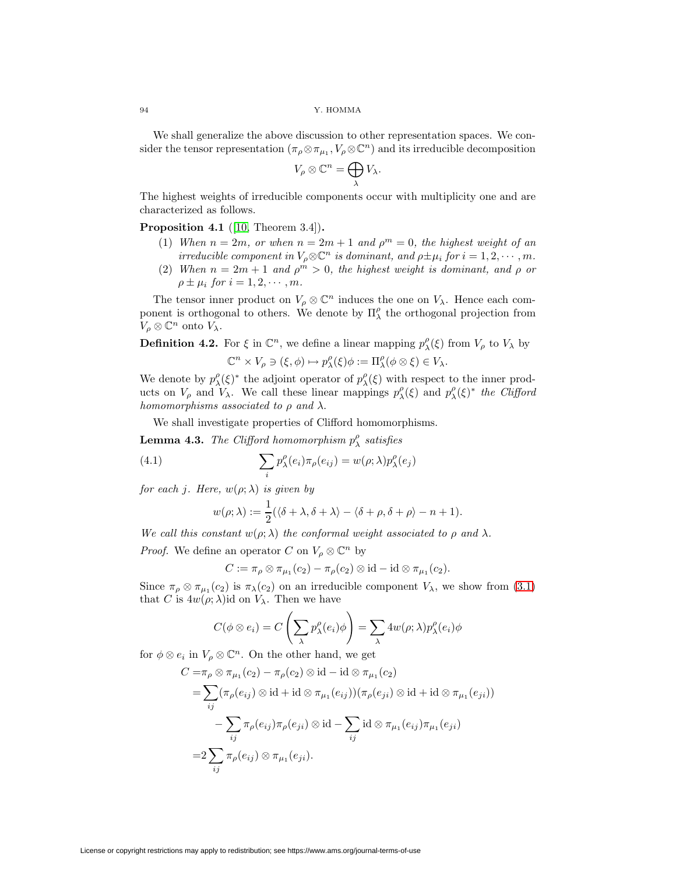We shall generalize the above discussion to other representation spaces. We consider the tensor representation  $(\pi_{\rho} \otimes \pi_{\mu_1}, V_{\rho} \otimes \mathbb{C}^n)$  and its irreducible decomposition

$$
V_{\rho}\otimes \mathbb{C}^n=\bigoplus_{\lambda}V_{\lambda}.
$$

<span id="page-7-1"></span>The highest weights of irreducible components occur with multiplicity one and are characterized as follows.

**Proposition 4.1** ([\[10,](#page-27-1) Theorem 3.4])**.**

- (1) When  $n = 2m$ , or when  $n = 2m + 1$  and  $\rho^m = 0$ , the highest weight of an irreducible component in  $V_\rho \otimes \mathbb{C}^n$  is dominant, and  $\rho \pm \mu_i$  for  $i = 1, 2, \cdots, m$ .
- (2) When  $n = 2m + 1$  and  $\rho^m > 0$ , the highest weight is dominant, and  $\rho$  or  $\rho \pm \mu_i$  for  $i = 1, 2, \cdots, m$ .

The tensor inner product on  $V_{\rho} \otimes \mathbb{C}^n$  induces the one on  $V_{\lambda}$ . Hence each component is orthogonal to others. We denote by  $\Pi_{\lambda}^{\rho}$  the orthogonal projection from  $V_{\rho} \otimes \mathbb{C}^n$  onto  $V_{\lambda}$ .

**Definition 4.2.** For  $\xi$  in  $\mathbb{C}^n$ , we define a linear mapping  $p_{\lambda}^{\rho}(\xi)$  from  $V_{\rho}$  to  $V_{\lambda}$  by

<span id="page-7-0"></span>
$$
\mathbb{C}^n \times V_\rho \ni (\xi, \phi) \mapsto p_\lambda^\rho(\xi)\phi := \Pi_\lambda^\rho(\phi \otimes \xi) \in V_\lambda.
$$

We denote by  $p_{\lambda}^{\rho}(\xi)^*$  the adjoint operator of  $p_{\lambda}^{\rho}(\xi)$  with respect to the inner products on  $V_\rho$  and  $V_\lambda$ . We call these linear mappings  $p_\lambda^{\rho}(\xi)$  and  $p_\lambda^{\rho}(\xi)^*$  the Clifford homomorphisms associated to  $\rho$  and  $\lambda$ .

We shall investigate properties of Clifford homomorphisms.

**Lemma 4.3.** The Clifford homomorphism  $p_{\lambda}^{\rho}$  satisfies

(4.1) 
$$
\sum_{i} p_{\lambda}^{\rho}(e_i) \pi_{\rho}(e_{ij}) = w(\rho; \lambda) p_{\lambda}^{\rho}(e_j)
$$

for each *j*. Here,  $w(\rho; \lambda)$  is given by

$$
w(\rho; \lambda) := \frac{1}{2} (\langle \delta + \lambda, \delta + \lambda \rangle - \langle \delta + \rho, \delta + \rho \rangle - n + 1).
$$

We call this constant  $w(\rho; \lambda)$  the conformal weight associated to  $\rho$  and  $\lambda$ .

*Proof.* We define an operator C on  $V_\rho \otimes \mathbb{C}^n$  by

$$
C:=\pi_{\rho}\otimes\pi_{\mu_1}(c_2)-\pi_{\rho}(c_2)\otimes\mathrm{id}-\mathrm{id}\otimes\pi_{\mu_1}(c_2).
$$

Since  $\pi_{\rho} \otimes \pi_{\mu_1}(c_2)$  is  $\pi_{\lambda}(c_2)$  on an irreducible component  $V_{\lambda}$ , we show from [\(3.1\)](#page-3-5) that C is  $4w(\rho; \lambda)$ id on  $V_{\lambda}$ . Then we have

$$
C(\phi \otimes e_i) = C\left(\sum_{\lambda} p_{\lambda}^{\rho}(e_i)\phi\right) = \sum_{\lambda} 4w(\rho;\lambda)p_{\lambda}^{\rho}(e_i)\phi
$$

for  $\phi \otimes e_i$  in  $V_\rho \otimes \mathbb{C}^n$ . On the other hand, we get

$$
C = \pi_{\rho} \otimes \pi_{\mu_1}(c_2) - \pi_{\rho}(c_2) \otimes id - id \otimes \pi_{\mu_1}(c_2)
$$
  
= 
$$
\sum_{ij} (\pi_{\rho}(e_{ij}) \otimes id + id \otimes \pi_{\mu_1}(e_{ij})) (\pi_{\rho}(e_{ji}) \otimes id + id \otimes \pi_{\mu_1}(e_{ji}))
$$
  
- 
$$
\sum_{ij} \pi_{\rho}(e_{ij}) \pi_{\rho}(e_{ji}) \otimes id - \sum_{ij} id \otimes \pi_{\mu_1}(e_{ij}) \pi_{\mu_1}(e_{ji})
$$
  
= 
$$
2 \sum_{ij} \pi_{\rho}(e_{ij}) \otimes \pi_{\mu_1}(e_{ji}).
$$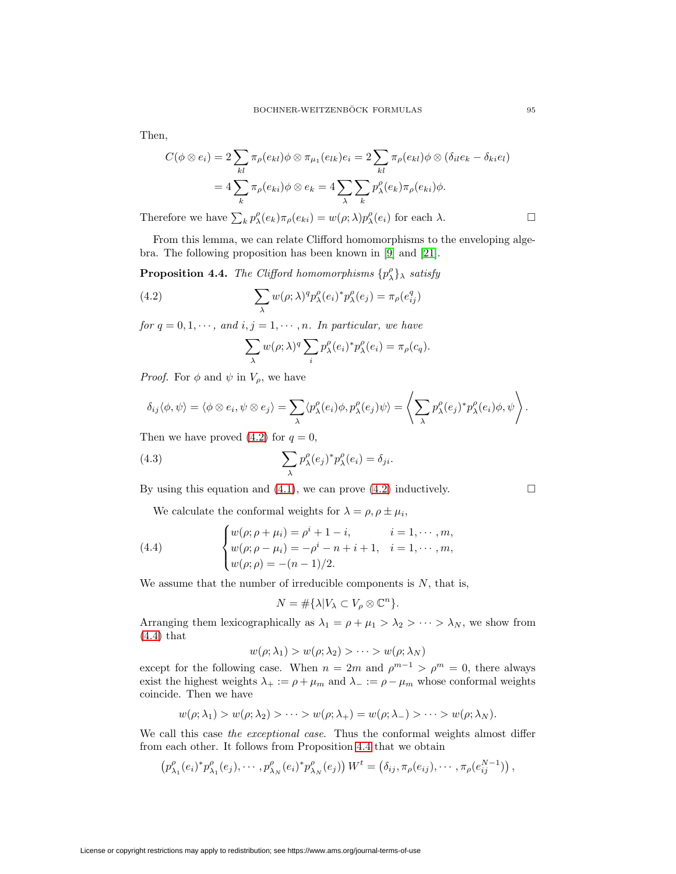Then,

$$
C(\phi \otimes e_i) = 2 \sum_{kl} \pi_\rho(e_{kl}) \phi \otimes \pi_{\mu_1}(e_{lk}) e_i = 2 \sum_{kl} \pi_\rho(e_{kl}) \phi \otimes (\delta_{il} e_k - \delta_{ki} e_l)
$$
  
= 
$$
4 \sum_k \pi_\rho(e_{ki}) \phi \otimes e_k = 4 \sum_\lambda \sum_k p_\lambda^\rho(e_k) \pi_\rho(e_{ki}) \phi.
$$

Therefore we have  $\sum_{k} p_{\lambda}^{\rho}(e_k) \pi_{\rho}(e_{ki}) = w(\rho; \lambda) p_{\lambda}^{\rho}(e_i)$  for each  $\lambda$ .

<span id="page-8-2"></span>From this lemma, we can relate Clifford homomorphisms to the enveloping algebra. The following proposition has been known in [\[9\]](#page-27-7) and [\[21\]](#page-27-12).

**Proposition 4.4.** The Clifford homomorphisms  $\{p_{\lambda}^{\rho}\}\$  satisfy

(4.2) 
$$
\sum_{\lambda} w(\rho; \lambda)^q p_{\lambda}^{\rho}(e_i)^* p_{\lambda}^{\rho}(e_j) = \pi_{\rho}(e_{ij}^q)
$$

for  $q = 0, 1, \dots$ , and  $i, j = 1, \dots, n$ . In particular, we have

<span id="page-8-3"></span><span id="page-8-0"></span>
$$
\sum_{\lambda} w(\rho; \lambda)^q \sum_{i} p_{\lambda}^{\rho}(e_i)^* p_{\lambda}^{\rho}(e_i) = \pi_{\rho}(c_q).
$$

*Proof.* For  $\phi$  and  $\psi$  in  $V_\rho$ , we have

$$
\delta_{ij}\langle \phi, \psi \rangle = \langle \phi \otimes e_i, \psi \otimes e_j \rangle = \sum_{\lambda} \langle p_{\lambda}^{\rho}(e_i) \phi, p_{\lambda}^{\rho}(e_j) \psi \rangle = \left\langle \sum_{\lambda} p_{\lambda}^{\rho}(e_j)^* p_{\lambda}^{\rho}(e_i) \phi, \psi \right\rangle.
$$

Then we have proved  $(4.2)$  for  $q = 0$ ,

(4.3) 
$$
\sum_{\lambda} p_{\lambda}^{\rho}(e_j)^* p_{\lambda}^{\rho}(e_i) = \delta_{ji}.
$$

By using this equation and [\(4.1\)](#page-7-0), we can prove [\(4.2\)](#page-8-0) inductively.  $\Box$ 

We calculate the conformal weights for  $\lambda = \rho, \rho \pm \mu_i$ ,

(4.4) 
$$
\begin{cases} w(\rho; \rho + \mu_i) = \rho^i + 1 - i, & i = 1, \dots, m, \\ w(\rho; \rho - \mu_i) = -\rho^i - n + i + 1, & i = 1, \dots, m, \\ w(\rho; \rho) = -(n-1)/2. \end{cases}
$$

We assume that the number of irreducible components is  $N$ , that is,

<span id="page-8-1"></span>
$$
N = \# \{ \lambda | V_{\lambda} \subset V_{\rho} \otimes \mathbb{C}^n \}.
$$

Arranging them lexicographically as  $\lambda_1 = \rho + \mu_1 > \lambda_2 > \cdots > \lambda_N$ , we show from [\(4.4\)](#page-8-1) that

$$
w(\rho; \lambda_1) > w(\rho; \lambda_2) > \cdots > w(\rho; \lambda_N)
$$

except for the following case. When  $n = 2m$  and  $\rho^{m-1} > \rho^m = 0$ , there always exist the highest weights  $\lambda_+ := \rho + \mu_m$  and  $\lambda_- := \rho - \mu_m$  whose conformal weights coincide. Then we have

$$
w(\rho;\lambda_1) > w(\rho;\lambda_2) > \cdots > w(\rho;\lambda_+) = w(\rho;\lambda_-) > \cdots > w(\rho;\lambda_N).
$$

We call this case the exceptional case. Thus the conformal weights almost differ from each other. It follows from Proposition [4.4](#page-8-2) that we obtain

$$
\left(p_{\lambda_1}^{\rho}(e_i)^*p_{\lambda_1}^{\rho}(e_j),\cdots,p_{\lambda_N}^{\rho}(e_i)^*p_{\lambda_N}^{\rho}(e_j)\right)W^t=\left(\delta_{ij},\pi_{\rho}(e_{ij}),\cdots,\pi_{\rho}(e_{ij}^{N-1})\right),
$$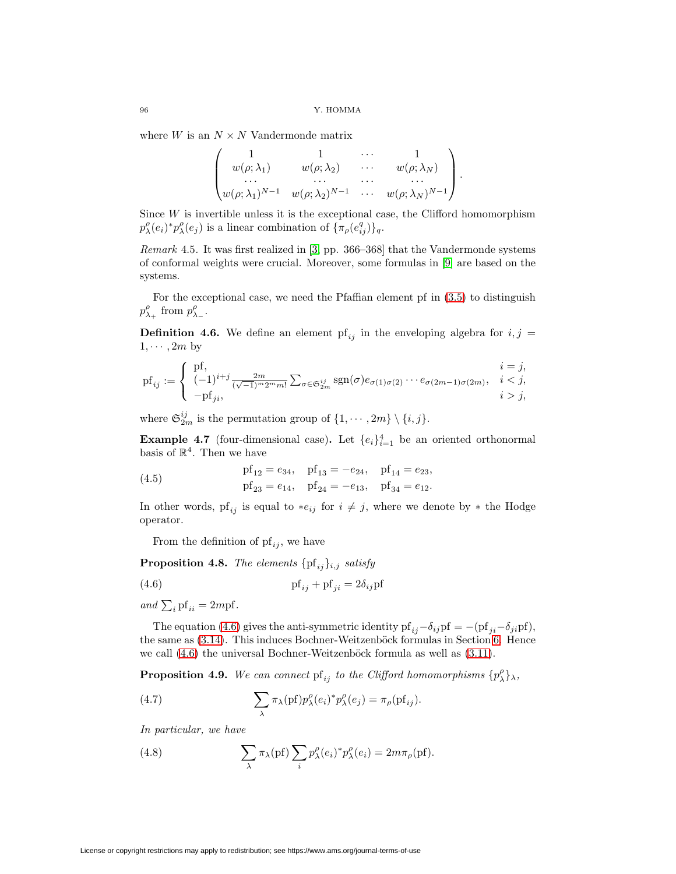where  $W$  is an  $N \times N$  Vandermonde matrix

$$
\begin{pmatrix}\n1 & 1 & \cdots & 1 \\
w(\rho; \lambda_1) & w(\rho; \lambda_2) & \cdots & w(\rho; \lambda_N) \\
\vdots & \vdots & \ddots & \vdots \\
w(\rho; \lambda_1)^{N-1} & w(\rho; \lambda_2)^{N-1} & \cdots & w(\rho; \lambda_N)^{N-1}\n\end{pmatrix}.
$$

Since  $W$  is invertible unless it is the exceptional case, the Clifford homomorphism  $p_{\lambda}^{\rho}(e_i)^* p_{\lambda}^{\rho}(e_j)$  is a linear combination of  $\{\pi_{\rho}(e_{ij}^q)\}_q$ .

Remark 4.5. It was first realized in [\[3,](#page-26-0) pp. 366–368] that the Vandermonde systems of conformal weights were crucial. Moreover, some formulas in [\[9\]](#page-27-7) are based on the systems.

For the exceptional case, we need the Pfaffian element pf in [\(3.5\)](#page-4-3) to distinguish  $p_{\lambda_+}^{\rho}$  from  $p_{\lambda_-}^{\rho}$ .

**Definition 4.6.** We define an element  $pf_{ij}$  in the enveloping algebra for  $i, j =$  $1, \cdots, 2m$  by

$$
\mathrm{pf}_{ij} := \begin{cases} \mathrm{pf}, & i = j, \\ (-1)^{i+j} \frac{2m}{(\sqrt{-1})^m 2^m m!} \sum_{\sigma \in \mathfrak{S}_{2m}^{ij}} \mathrm{sgn}(\sigma) e_{\sigma(1)\sigma(2)} \cdots e_{\sigma(2m-1)\sigma(2m)}, & i < j, \\ -\mathrm{pf}_{ji}, & i > j, \end{cases}
$$

where  $\mathfrak{S}_{2m}^{ij}$  is the permutation group of  $\{1, \cdots, 2m\} \setminus \{i, j\}.$ 

<span id="page-9-4"></span>**Example 4.7** (four-dimensional case). Let  $\{e_i\}_{i=1}^4$  be an oriented orthonormal basis of  $\mathbb{R}^4$ . Then we have

(4.5) 
$$
pf_{12} = e_{34}, \quad pf_{13} = -e_{24}, \quad pf_{14} = e_{23},
$$

$$
pf_{23} = e_{14}, \quad pf_{24} = -e_{13}, \quad pf_{34} = e_{12}.
$$

In other words, pf<sub>ij</sub> is equal to \*e<sub>ij</sub> for  $i \neq j$ , where we denote by \* the Hodge operator.

<span id="page-9-0"></span>From the definition of  $\mathrm{pf}_{ij}$ , we have

**Proposition 4.8.** The elements  $\{pf_{ij}\}_{i,j}$  satisfy

(4.6) pf ij + pfji = 2δijpf

and  $\sum_i pf_{ii} = 2mpf.$ 

The equation [\(4.6\)](#page-9-0) gives the anti-symmetric identity pf<sub>ij</sub> $-\delta_{ij}$ pf = −(pf<sub>ji</sub>− $\delta_{ji}$ pf), the same as  $(3.14)$ . This induces Bochner-Weitzenböck formulas in Section [6.](#page-16-0) Hence we call  $(4.6)$  the universal Bochner-Weitzenböck formula as well as  $(3.11)$ .

<span id="page-9-3"></span><span id="page-9-1"></span>**Proposition 4.9.** We can connect  $\mathrm{pf}_{ij}$  to the Clifford homomorphisms  $\{p^{\rho}_{\lambda}\}_{\lambda}$ ,

(4.7) 
$$
\sum_{\lambda} \pi_{\lambda}(\text{pf}) p_{\lambda}^{\rho}(e_i)^{*} p_{\lambda}^{\rho}(e_j) = \pi_{\rho}(\text{pf}_{ij}).
$$

<span id="page-9-2"></span>In particular, we have

(4.8) 
$$
\sum_{\lambda} \pi_{\lambda}(\text{pf}) \sum_{i} p_{\lambda}^{\rho}(e_i)^{*} p_{\lambda}^{\rho}(e_i) = 2m\pi_{\rho}(\text{pf}).
$$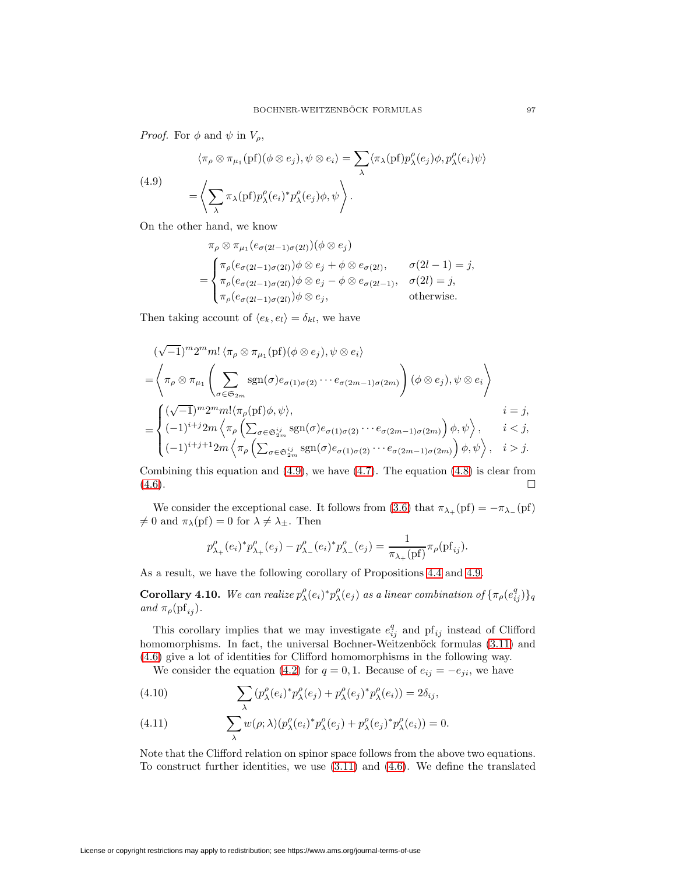<span id="page-10-0"></span>*Proof.* For  $\phi$  and  $\psi$  in  $V_{\rho}$ ,

(4.9)  
\n
$$
\langle \pi_{\rho} \otimes \pi_{\mu_1}(\mathrm{pf})(\phi \otimes e_j), \psi \otimes e_i \rangle = \sum_{\lambda} \langle \pi_{\lambda}(\mathrm{pf}) p_{\lambda}^{\rho}(e_j) \phi, p_{\lambda}^{\rho}(e_i) \psi \rangle
$$
\n
$$
= \left\langle \sum_{\lambda} \pi_{\lambda}(\mathrm{pf}) p_{\lambda}^{\rho}(e_i)^* p_{\lambda}^{\rho}(e_j) \phi, \psi \right\rangle.
$$

On the other hand, we know

$$
\pi_{\rho} \otimes \pi_{\mu_1}(e_{\sigma(2l-1)\sigma(2l)})(\phi \otimes e_j)
$$
\n
$$
= \begin{cases}\n\pi_{\rho}(e_{\sigma(2l-1)\sigma(2l)})\phi \otimes e_j + \phi \otimes e_{\sigma(2l)}, & \sigma(2l-1) = j, \\
\pi_{\rho}(e_{\sigma(2l-1)\sigma(2l)})\phi \otimes e_j - \phi \otimes e_{\sigma(2l-1)}, & \sigma(2l) = j, \\
\pi_{\rho}(e_{\sigma(2l-1)\sigma(2l)})\phi \otimes e_j, & \text{otherwise.} \n\end{cases}
$$

Then taking account of  $\langle e_k, e_l \rangle = \delta_{kl}$ , we have

$$
(\sqrt{-1})^m 2^m m! \langle \pi_\rho \otimes \pi_{\mu_1}(\mathrm{pf})(\phi \otimes e_j), \psi \otimes e_i \rangle
$$
  
\n=
$$
\left\langle \pi_\rho \otimes \pi_{\mu_1} \left( \sum_{\sigma \in \mathfrak{S}_{2m}} \mathrm{sgn}(\sigma) e_{\sigma(1)\sigma(2)} \cdots e_{\sigma(2m-1)\sigma(2m)} \right) (\phi \otimes e_j), \psi \otimes e_i \right\rangle
$$
  
\n=
$$
\left\{ \begin{aligned} &(\sqrt{-1})^m 2^m m! \langle \pi_\rho(\mathrm{pf})\phi, \psi \rangle, & i = j, \\ &(-1)^{i+j} 2m \left\langle \pi_\rho \left( \sum_{\sigma \in \mathfrak{S}_{2m}^{ij}} \mathrm{sgn}(\sigma) e_{\sigma(1)\sigma(2)} \cdots e_{\sigma(2m-1)\sigma(2m)} \right) \phi, \psi \right\rangle, & i < j, \\ &(-1)^{i+j+1} 2m \left\langle \pi_\rho \left( \sum_{\sigma \in \mathfrak{S}_{2m}^{ij}} \mathrm{sgn}(\sigma) e_{\sigma(1)\sigma(2)} \cdots e_{\sigma(2m-1)\sigma(2m)} \right) \phi, \psi \right\rangle, & i > j. \end{aligned}
$$

Combining this equation and  $(4.9)$ , we have  $(4.7)$ . The equation  $(4.8)$  is clear from  $(4.6)$ .

We consider the exceptional case. It follows from [\(3.6\)](#page-4-4) that  $\pi_{\lambda_+}(\text{pf}) = -\pi_{\lambda_-}(\text{pf})$  $\neq 0$  and  $\pi_{\lambda}(\text{pf}) = 0$  for  $\lambda \neq \lambda_{\pm}$ . Then

$$
p_{\lambda_+}^{\rho}(e_i)^* p_{\lambda_+}^{\rho}(e_j) - p_{\lambda_-}^{\rho}(e_i)^* p_{\lambda_-}^{\rho}(e_j) = \frac{1}{\pi_{\lambda_+}(pf)} \pi_{\rho}(pf_{ij}).
$$

As a result, we have the following corollary of Propositions [4.4](#page-8-2) and [4.9.](#page-9-3)

**Corollary 4.10.** We can realize  $p_{\lambda}^{\rho}(e_i)^* p_{\lambda}^{\rho}(e_j)$  as a linear combination of  $\{\pi_{\rho}(e_{ij}^q)\}_q$ and  $\pi_{\rho}(\mathrm{pf}_{ij}).$ 

This corollary implies that we may investigate  $e_{ij}^q$  and  $pf_{ij}$  instead of Clifford homomorphisms. In fact, the universal Bochner-Weitzenböck formulas  $(3.11)$  and [\(4.6\)](#page-9-0) give a lot of identities for Clifford homomorphisms in the following way.

We consider the equation [\(4.2\)](#page-8-0) for  $q = 0, 1$ . Because of  $e_{ij} = -e_{ji}$ , we have

<span id="page-10-1"></span>(4.10) 
$$
\sum_{\lambda} (p_{\lambda}^{\rho}(e_i)^* p_{\lambda}^{\rho}(e_j) + p_{\lambda}^{\rho}(e_j)^* p_{\lambda}^{\rho}(e_i)) = 2\delta_{ij},
$$

<span id="page-10-2"></span>(4.11) 
$$
\sum_{\lambda} w(\rho; \lambda) (p_{\lambda}^{\rho}(e_i)^* p_{\lambda}^{\rho}(e_j) + p_{\lambda}^{\rho}(e_j)^* p_{\lambda}^{\rho}(e_i)) = 0.
$$

Note that the Clifford relation on spinor space follows from the above two equations. To construct further identities, we use [\(3.11\)](#page-5-1) and [\(4.6\)](#page-9-0). We define the translated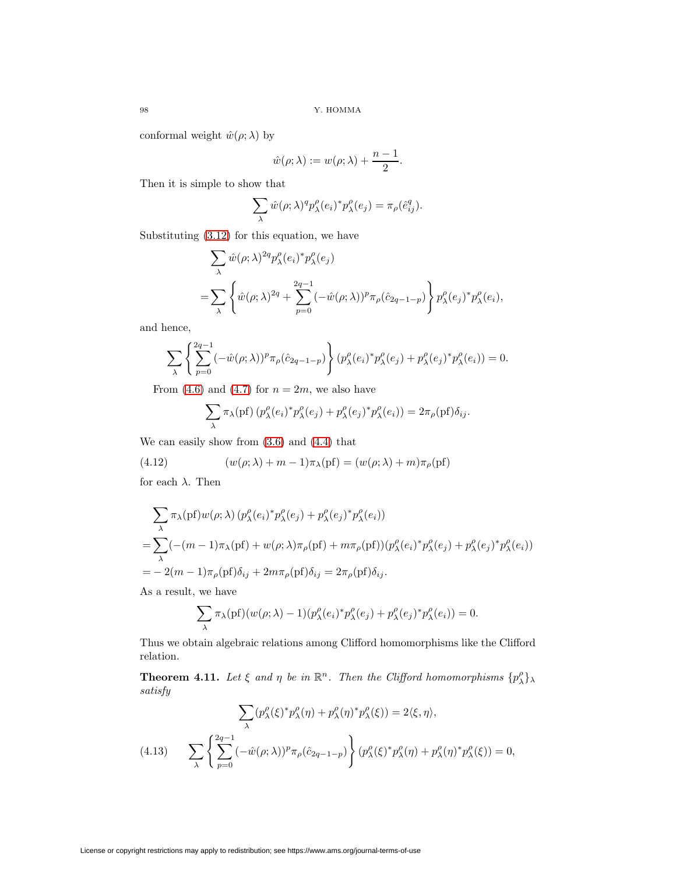conformal weight  $\hat{w}(\rho; \lambda)$  by

$$
\hat{w}(\rho;\lambda):=w(\rho;\lambda)+\frac{n-1}{2}.
$$

Then it is simple to show that

$$
\sum_{\lambda} \hat{w}(\rho; \lambda)^q p_{\lambda}^{\rho}(e_i)^* p_{\lambda}^{\rho}(e_j) = \pi_{\rho}(\hat{e}_{ij}^q).
$$

Substituting [\(3.12\)](#page-5-3) for this equation, we have

$$
\sum_{\lambda} \hat{w}(\rho; \lambda)^{2q} p_{\lambda}^{\rho}(e_i)^* p_{\lambda}^{\rho}(e_j)
$$
  
= 
$$
\sum_{\lambda} \left\{ \hat{w}(\rho; \lambda)^{2q} + \sum_{p=0}^{2q-1} (-\hat{w}(\rho; \lambda))^{p} \pi_{\rho}(\hat{c}_{2q-1-p}) \right\} p_{\lambda}^{\rho}(e_j)^* p_{\lambda}^{\rho}(e_i),
$$

and hence,

$$
\sum_{\lambda} \left\{ \sum_{p=0}^{2q-1} (-\hat{w}(\rho; \lambda))^p \pi_{\rho}(\hat{c}_{2q-1-p}) \right\} (p_{\lambda}^{\rho}(e_i)^* p_{\lambda}^{\rho}(e_j) + p_{\lambda}^{\rho}(e_j)^* p_{\lambda}^{\rho}(e_i)) = 0.
$$

From [\(4.6\)](#page-9-0) and [\(4.7\)](#page-9-1) for  $n = 2m$ , we also have

<span id="page-11-1"></span>
$$
\sum_{\lambda} \pi_{\lambda}(\text{pf}) \left( p_{\lambda}^{\rho}(e_i)^* p_{\lambda}^{\rho}(e_j) + p_{\lambda}^{\rho}(e_j)^* p_{\lambda}^{\rho}(e_i) \right) = 2\pi_{\rho}(\text{pf})\delta_{ij}.
$$

We can easily show from [\(3.6\)](#page-4-4) and [\(4.4\)](#page-8-1) that

(4.12) 
$$
(w(\rho; \lambda) + m - 1)\pi_{\lambda}(\text{pf}) = (w(\rho; \lambda) + m)\pi_{\rho}(\text{pf})
$$

for each  $\lambda$ . Then

$$
\sum_{\lambda} \pi_{\lambda}(\text{pf})w(\rho;\lambda) (p_{\lambda}^{\rho}(e_i)^* p_{\lambda}^{\rho}(e_j) + p_{\lambda}^{\rho}(e_j)^* p_{\lambda}^{\rho}(e_i))
$$
  
= 
$$
\sum_{\lambda} (-(m-1)\pi_{\lambda}(\text{pf}) + w(\rho;\lambda)\pi_{\rho}(\text{pf}) + m\pi_{\rho}(\text{pf})) (p_{\lambda}^{\rho}(e_i)^* p_{\lambda}^{\rho}(e_j) + p_{\lambda}^{\rho}(e_j)^* p_{\lambda}^{\rho}(e_i))
$$
  
= 
$$
-2(m-1)\pi_{\rho}(\text{pf})\delta_{ij} + 2m\pi_{\rho}(\text{pf})\delta_{ij} = 2\pi_{\rho}(\text{pf})\delta_{ij}.
$$

As a result, we have

$$
\sum_{\lambda} \pi_{\lambda}(\mathrm{pf})(w(\rho;\lambda) - 1)(p_{\lambda}^{\rho}(e_i)^* p_{\lambda}^{\rho}(e_j) + p_{\lambda}^{\rho}(e_j)^* p_{\lambda}^{\rho}(e_i)) = 0.
$$

Thus we obtain algebraic relations among Clifford homomorphisms like the Clifford relation.

**Theorem 4.11.** Let  $\xi$  and  $\eta$  be in  $\mathbb{R}^n$ . Then the Clifford homomorphisms  $\{p_\lambda^{\rho}\}_\lambda$ satisfy

<span id="page-11-0"></span>
$$
\sum_{\lambda} (p_{\lambda}^{\rho}(\xi)^{*} p_{\lambda}^{\rho}(\eta) + p_{\lambda}^{\rho}(\eta)^{*} p_{\lambda}^{\rho}(\xi)) = 2\langle \xi, \eta \rangle,
$$
\n
$$
(4.13) \qquad \sum_{\lambda} \left\{ \sum_{p=0}^{2q-1} (-\hat{w}(\rho;\lambda))^p \pi_{\rho}(\hat{c}_{2q-1-p}) \right\} (p_{\lambda}^{\rho}(\xi)^{*} p_{\lambda}^{\rho}(\eta) + p_{\lambda}^{\rho}(\eta)^{*} p_{\lambda}^{\rho}(\xi)) = 0,
$$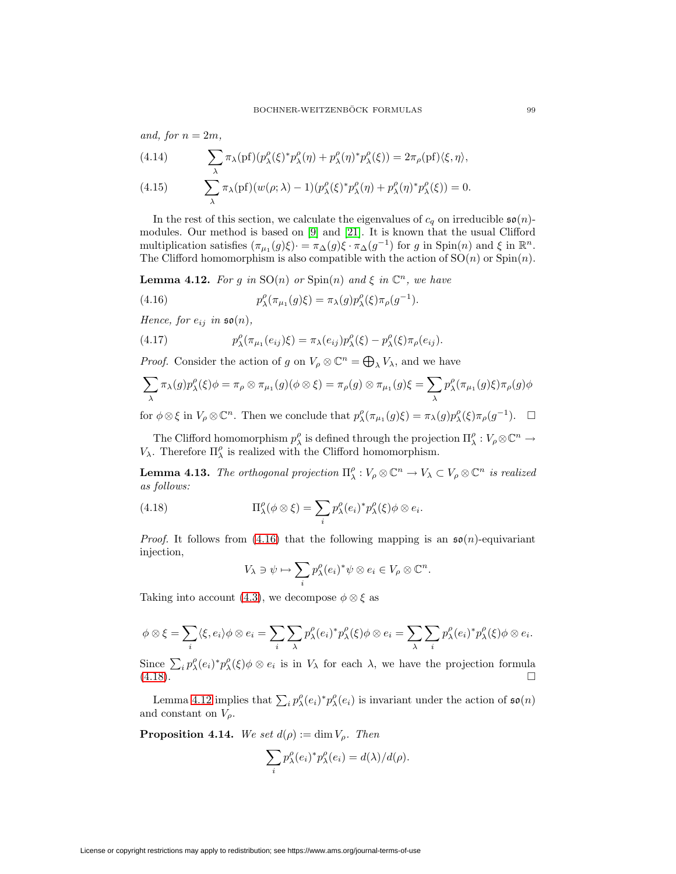and, for  $n = 2m$ ,

<span id="page-12-5"></span><span id="page-12-4"></span>(4.14) 
$$
\sum_{\lambda} \pi_{\lambda}(\text{pf})(p_{\lambda}^{\rho}(\xi)^{*}p_{\lambda}^{\rho}(\eta) + p_{\lambda}^{\rho}(\eta)^{*}p_{\lambda}^{\rho}(\xi)) = 2\pi_{\rho}(\text{pf})(\xi, \eta),
$$
  
(4.15) 
$$
\sum_{\lambda} \pi_{\lambda}(\text{pf})(w(\rho; \lambda) - 1)(p_{\lambda}^{\rho}(\xi)^{*}p_{\lambda}^{\rho}(\eta) + p_{\lambda}^{\rho}(\eta)^{*}p_{\lambda}^{\rho}(\xi)) = 0.
$$

In the rest of this section, we calculate the eigenvalues of  $c_q$  on irreducible  $\mathfrak{so}(n)$ modules. Our method is based on [\[9\]](#page-27-7) and [\[21\]](#page-27-12). It is known that the usual Clifford multiplication satisfies  $(\pi_{\mu_1}(g)\xi) \cdot = \pi_{\Delta}(g)\xi \cdot \pi_{\Delta}(g^{-1})$  for g in Spin $(n)$  and  $\xi$  in  $\mathbb{R}^n$ . The Clifford homomorphism is also compatible with the action of  $SO(n)$  or  $Spin(n)$ .

<span id="page-12-2"></span>**Lemma 4.12.** For g in  $SO(n)$  or  $Spin(n)$  and  $\xi$  in  $\mathbb{C}^n$ , we have

<span id="page-12-0"></span>(4.16) 
$$
p_{\lambda}^{\rho}(\pi_{\mu_1}(g)\xi) = \pi_{\lambda}(g)p_{\lambda}^{\rho}(\xi)\pi_{\rho}(g^{-1}).
$$

<span id="page-12-3"></span>Hence, for  $e_{ij}$  in  $\mathfrak{so}(n)$ ,

(4.17) 
$$
p_{\lambda}^{\rho}(\pi_{\mu_1}(e_{ij})\xi) = \pi_{\lambda}(e_{ij})p_{\lambda}^{\rho}(\xi) - p_{\lambda}^{\rho}(\xi)\pi_{\rho}(e_{ij}).
$$

*Proof.* Consider the action of g on  $V_{\rho} \otimes \mathbb{C}^n = \bigoplus_{\lambda} V_{\lambda}$ , and we have

$$
\sum_{\lambda} \pi_{\lambda}(g) p_{\lambda}^{\rho}(\xi) \phi = \pi_{\rho} \otimes \pi_{\mu_1}(g) (\phi \otimes \xi) = \pi_{\rho}(g) \otimes \pi_{\mu_1}(g) \xi = \sum_{\lambda} p_{\lambda}^{\rho}(\pi_{\mu_1}(g) \xi) \pi_{\rho}(g) \phi
$$

for  $\phi \otimes \xi$  in  $V_{\rho} \otimes \mathbb{C}^n$ . Then we conclude that  $p^{\rho}_{\lambda}(\pi_{\mu_1}(g)\xi) = \pi_{\lambda}(g)p^{\rho}_{\lambda}(\xi)\pi_{\rho}(g^{-1})$ .  $\Box$ 

The Clifford homomorphism  $p_\lambda^{\rho}$  is defined through the projection  $\Pi_\lambda^{\rho}: V_\rho \otimes \mathbb{C}^n \to$  $V_{\lambda}$ . Therefore  $\Pi^{\rho}_{\lambda}$  is realized with the Clifford homomorphism.

<span id="page-12-1"></span>**Lemma 4.13.** The orthogonal projection  $\Pi^{\rho}_{\lambda}: V_{\rho} \otimes \mathbb{C}^n \to V_{\lambda} \subset V_{\rho} \otimes \mathbb{C}^n$  is realized as follows:

(4.18) 
$$
\Pi_{\lambda}^{\rho}(\phi \otimes \xi) = \sum_{i} p_{\lambda}^{\rho}(e_i)^* p_{\lambda}^{\rho}(\xi) \phi \otimes e_i.
$$

*Proof.* It follows from [\(4.16\)](#page-12-0) that the following mapping is an  $\mathfrak{so}(n)$ -equivariant injection,

$$
V_\lambda\ni\psi\mapsto\sum_i p_\lambda^\rho(e_i)^*\psi\otimes e_i\in V_\rho\otimes\mathbb{C}^n.
$$

Taking into account [\(4.3\)](#page-8-3), we decompose  $\phi \otimes \xi$  as

$$
\phi \otimes \xi = \sum_i \langle \xi, e_i \rangle \phi \otimes e_i = \sum_i \sum_{\lambda} p_{\lambda}^{\rho} (e_i)^* p_{\lambda}^{\rho} (\xi) \phi \otimes e_i = \sum_{\lambda} \sum_i p_{\lambda}^{\rho} (e_i)^* p_{\lambda}^{\rho} (\xi) \phi \otimes e_i.
$$

Since  $\sum_i p_{\lambda}^{\rho}(e_i)^* p_{\lambda}^{\rho}(\xi) \phi \otimes e_i$  is in  $V_{\lambda}$  for each  $\lambda$ , we have the projection formula  $(4.18).$  $(4.18).$ 

Lemma [4.12](#page-12-2) implies that  $\sum_i p_{\lambda}^{\rho}(e_i)^* p_{\lambda}^{\rho}(e_i)$  is invariant under the action of  $\mathfrak{so}(n)$ and constant on  $V<sub>\rho</sub>$ .

**Proposition 4.14.** We set  $d(\rho) := \dim V_{\rho}$ . Then

$$
\sum_{i} p_{\lambda}^{\rho}(e_i)^* p_{\lambda}^{\rho}(e_i) = d(\lambda)/d(\rho).
$$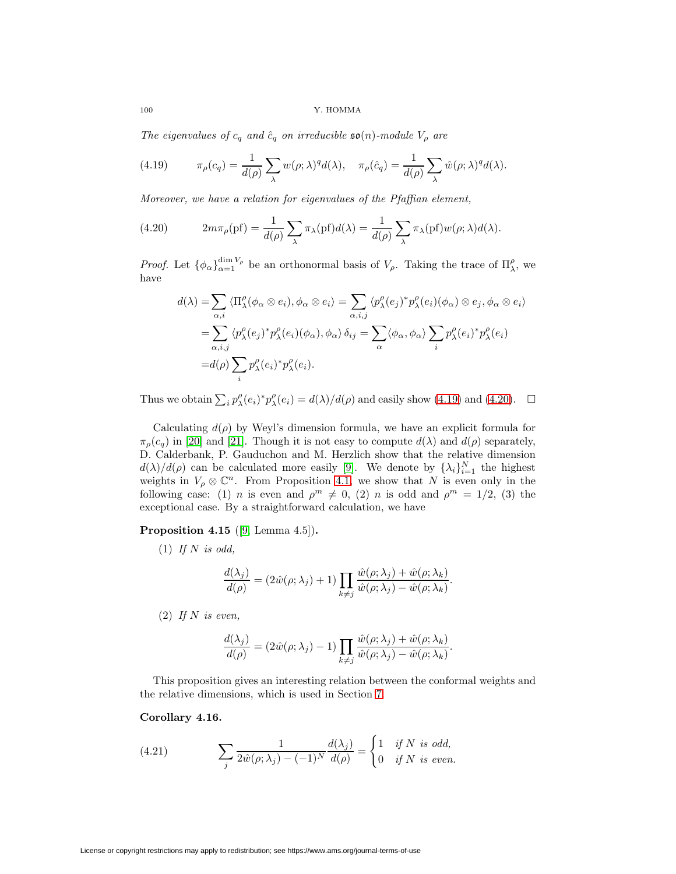$100$   $\,$  Y. HOMMA

<span id="page-13-0"></span>The eigenvalues of  $c_q$  and  $\hat{c}_q$  on irreducible  $\mathfrak{so}(n)$ -module  $V_\rho$  are

(4.19) 
$$
\pi_{\rho}(c_q) = \frac{1}{d(\rho)} \sum_{\lambda} w(\rho; \lambda)^q d(\lambda), \quad \pi_{\rho}(\hat{c}_q) = \frac{1}{d(\rho)} \sum_{\lambda} \hat{w}(\rho; \lambda)^q d(\lambda).
$$

Moreover, we have a relation for eigenvalues of the Pfaffian element,

(4.20) 
$$
2m\pi_{\rho}(\text{pf}) = \frac{1}{d(\rho)} \sum_{\lambda} \pi_{\lambda}(\text{pf}) d(\lambda) = \frac{1}{d(\rho)} \sum_{\lambda} \pi_{\lambda}(\text{pf}) w(\rho; \lambda) d(\lambda).
$$

*Proof.* Let  $\{\phi_\alpha\}_{\alpha=1}^{\dim V_\rho}$  be an orthonormal basis of  $V_\rho$ . Taking the trace of  $\Pi_\lambda^\rho$ , we have

<span id="page-13-1"></span>
$$
d(\lambda) = \sum_{\alpha,i} \langle \Pi_{\lambda}^{\rho}(\phi_{\alpha} \otimes e_{i}), \phi_{\alpha} \otimes e_{i} \rangle = \sum_{\alpha,i,j} \langle p_{\lambda}^{\rho}(e_{j})^{*} p_{\lambda}^{\rho}(e_{i}) (\phi_{\alpha}) \otimes e_{j}, \phi_{\alpha} \otimes e_{i} \rangle
$$
  

$$
= \sum_{\alpha,i,j} \langle p_{\lambda}^{\rho}(e_{j})^{*} p_{\lambda}^{\rho}(e_{i}) (\phi_{\alpha}), \phi_{\alpha} \rangle \delta_{ij} = \sum_{\alpha} \langle \phi_{\alpha}, \phi_{\alpha} \rangle \sum_{i} p_{\lambda}^{\rho}(e_{i})^{*} p_{\lambda}^{\rho}(e_{i})
$$
  

$$
= d(\rho) \sum_{i} p_{\lambda}^{\rho}(e_{i})^{*} p_{\lambda}^{\rho}(e_{i}).
$$

Thus we obtain  $\sum_i p_{\lambda}^{\rho}(e_i)^* p_{\lambda}^{\rho}(e_i) = d(\lambda)/d(\rho)$  and easily show [\(4.19\)](#page-13-0) and [\(4.20\)](#page-13-1).  $\Box$ 

Calculating  $d(\rho)$  by Weyl's dimension formula, we have an explicit formula for  $\pi_{\rho}(c_q)$  in [\[20\]](#page-27-11) and [\[21\]](#page-27-12). Though it is not easy to compute  $d(\lambda)$  and  $d(\rho)$  separately, D. Calderbank, P. Gauduchon and M. Herzlich show that the relative dimension  $d(\lambda)/d(\rho)$  can be calculated more easily [\[9\]](#page-27-7). We denote by  $\{\lambda_i\}_{i=1}^N$  the highest weights in  $V_\rho \otimes \mathbb{C}^n$ . From Proposition [4.1,](#page-7-1) we show that N is even only in the following case: (1) *n* is even and  $\rho^m \neq 0$ , (2) *n* is odd and  $\rho^m = 1/2$ , (3) the exceptional case. By a straightforward calculation, we have

# **Proposition 4.15** ([\[9,](#page-27-7) Lemma 4.5])**.**

 $(1)$  If N is odd,

$$
\frac{d(\lambda_j)}{d(\rho)} = (2\hat{w}(\rho;\lambda_j) + 1) \prod_{k \neq j} \frac{\hat{w}(\rho;\lambda_j) + \hat{w}(\rho;\lambda_k)}{\hat{w}(\rho;\lambda_j) - \hat{w}(\rho;\lambda_k)}.
$$

 $(2)$  If N is even,

$$
\frac{d(\lambda_j)}{d(\rho)} = (2\hat{w}(\rho;\lambda_j) - 1) \prod_{k \neq j} \frac{\hat{w}(\rho;\lambda_j) + \hat{w}(\rho;\lambda_k)}{\hat{w}(\rho;\lambda_j) - \hat{w}(\rho;\lambda_k)}.
$$

This proposition gives an interesting relation between the conformal weights and the relative dimensions, which is used in Section [7.](#page-18-1)

# <span id="page-13-2"></span>**Corollary 4.16.**

(4.21) 
$$
\sum_{j} \frac{1}{2\hat{w}(\rho;\lambda_j) - (-1)^N} \frac{d(\lambda_j)}{d(\rho)} = \begin{cases} 1 & \text{if } N \text{ is odd,} \\ 0 & \text{if } N \text{ is even.} \end{cases}
$$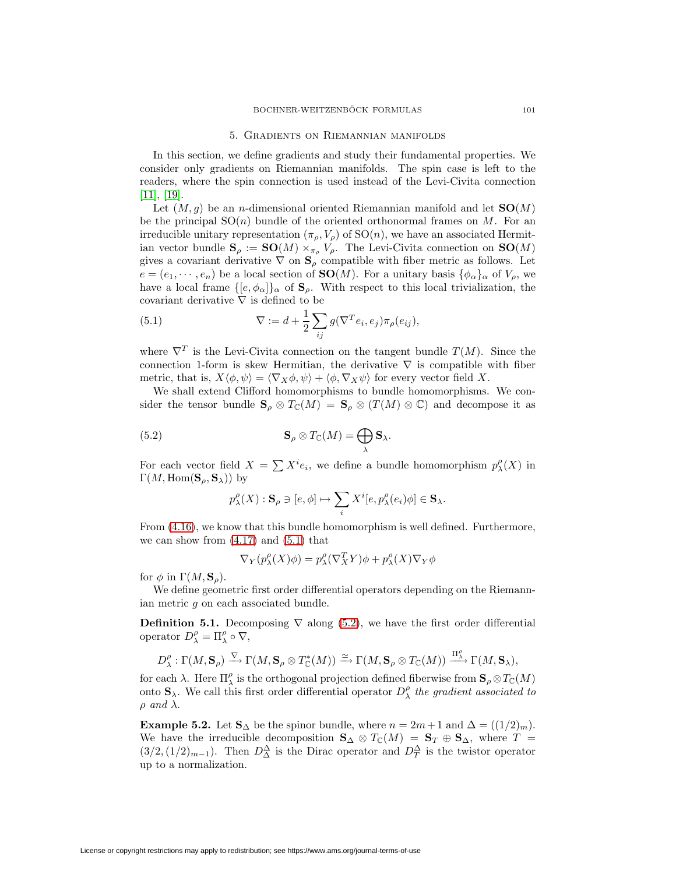### 5. Gradients on Riemannian manifolds

<span id="page-14-0"></span>In this section, we define gradients and study their fundamental properties. We consider only gradients on Riemannian manifolds. The spin case is left to the readers, where the spin connection is used instead of the Levi-Civita connection [\[11\]](#page-27-13), [\[19\]](#page-27-0).

Let  $(M, g)$  be an *n*-dimensional oriented Riemannian manifold and let  $SO(M)$ be the principal  $SO(n)$  bundle of the oriented orthonormal frames on M. For an irreducible unitary representation  $(\pi_{\rho}, V_{\rho})$  of  $SO(n)$ , we have an associated Hermitian vector bundle  $\mathbf{S}_{\rho} := \mathbf{SO}(M) \times_{\pi_{\rho}} V_{\rho}$ . The Levi-Civita connection on  $\mathbf{SO}(M)$ gives a covariant derivative  $\nabla$  on  $\mathbf{S}_{\rho}$  compatible with fiber metric as follows. Let  $e = (e_1, \dots, e_n)$  be a local section of **SO**(M). For a unitary basis  $\{\phi_\alpha\}_\alpha$  of  $V_\rho$ , we have a local frame  $\{[e, \phi_\alpha]\}_\alpha$  of  $\mathbf{S}_\rho$ . With respect to this local trivialization, the covariant derivative  $\nabla$  is defined to be

<span id="page-14-1"></span>(5.1) 
$$
\nabla := d + \frac{1}{2} \sum_{ij} g(\nabla^T e_i, e_j) \pi_\rho(e_{ij}),
$$

where  $\nabla^T$  is the Levi-Civita connection on the tangent bundle  $T(M)$ . Since the connection 1-form is skew Hermitian, the derivative  $\nabla$  is compatible with fiber metric, that is,  $X\langle \phi, \psi \rangle = \langle \nabla_X \phi, \psi \rangle + \langle \phi, \nabla_X \psi \rangle$  for every vector field X.

We shall extend Clifford homomorphisms to bundle homomorphisms. We consider the tensor bundle  $\mathbf{S}_{\rho} \otimes T_{\mathbb{C}}(M) = \mathbf{S}_{\rho} \otimes (T(M) \otimes \mathbb{C})$  and decompose it as

<span id="page-14-2"></span>(5.2) 
$$
\mathbf{S}_{\rho} \otimes T_{\mathbb{C}}(M) = \bigoplus_{\lambda} \mathbf{S}_{\lambda}.
$$

For each vector field  $X = \sum X^{i} e_i$ , we define a bundle homomorphism  $p_{\lambda}^{\rho}(X)$  in  $\Gamma(M, \text{Hom}(\mathbf{S}_{\rho}, \mathbf{S}_{\lambda}))$  by

$$
p_{\lambda}^{\rho}(X): \mathbf{S}_{\rho} \ni [e,\phi] \mapsto \sum_{i} X^{i}[e,p_{\lambda}^{\rho}(e_{i})\phi] \in \mathbf{S}_{\lambda}.
$$

From [\(4.16\)](#page-12-0), we know that this bundle homomorphism is well defined. Furthermore, we can show from  $(4.17)$  and  $(5.1)$  that

$$
\nabla_Y (p^{\rho}_\lambda(X)\phi) = p^{\rho}_\lambda (\nabla^T_X Y) \phi + p^{\rho}_\lambda(X) \nabla_Y \phi
$$

for  $\phi$  in  $\Gamma(M, S_o)$ .

We define geometric first order differential operators depending on the Riemannian metric g on each associated bundle.

**Definition 5.1.** Decomposing  $\nabla$  along [\(5.2\)](#page-14-2), we have the first order differential operator  $D_{\lambda}^{\rho} = \Pi_{\lambda}^{\rho} \circ \nabla$ ,

$$
D^{\rho}_{\lambda}:\Gamma(M,\mathbf{S}_{\rho})\xrightarrow{\nabla}\Gamma(M,\mathbf{S}_{\rho}\otimes T^{*}_{\mathbb{C}}(M))\xrightarrow{\simeq}\Gamma(M,\mathbf{S}_{\rho}\otimes T_{\mathbb{C}}(M))\xrightarrow{\Pi^{\rho}_{\lambda}}\Gamma(M,\mathbf{S}_{\lambda}),
$$

for each  $\lambda$ . Here  $\Pi^{\rho}_{\lambda}$  is the orthogonal projection defined fiberwise from  $\mathbf{S}_{\rho} \otimes T_{\mathbb{C}}(M)$ onto  $\mathbf{S}_{\lambda}$ . We call this first order differential operator  $D_{\lambda}^{\rho}$  the gradient associated to  $\rho$  and  $\lambda$ .

**Example 5.2.** Let  $\mathbf{S}_{\Delta}$  be the spinor bundle, where  $n = 2m+1$  and  $\Delta = ((1/2)<sub>m</sub>)$ . We have the irreducible decomposition  $S_\Delta \otimes T_\mathbb{C}(M) = S_T \oplus S_\Delta$ , where  $T =$  $(3/2, (1/2)_{m-1})$ . Then  $D^{\Delta}_{\Delta}$  is the Dirac operator and  $D^{\Delta}_{T}$  is the twistor operator up to a normalization.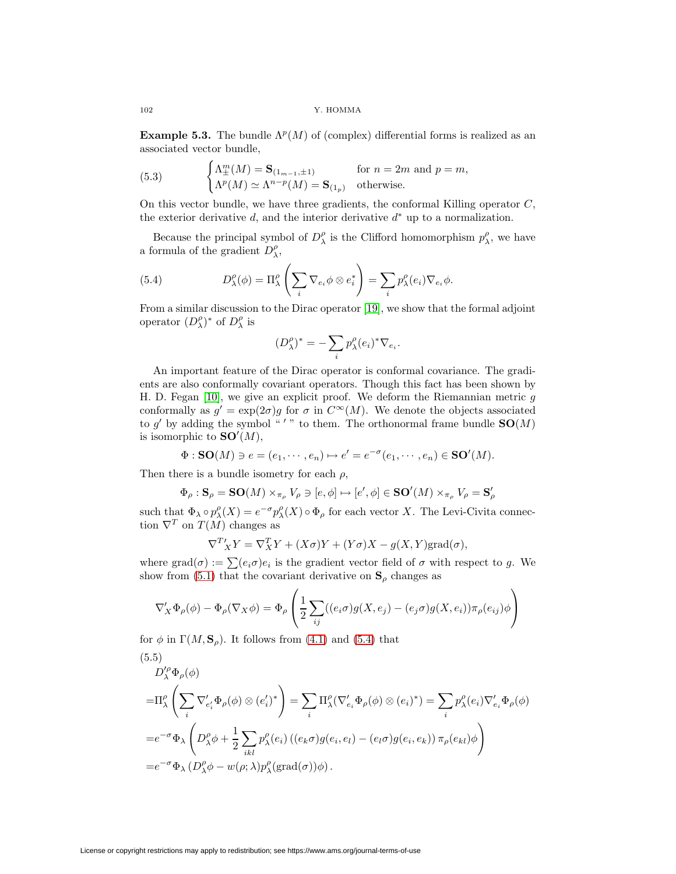**Example 5.3.** The bundle  $\Lambda^p(M)$  of (complex) differential forms is realized as an associated vector bundle,

(5.3) 
$$
\begin{cases} \Lambda_{\pm}^{m}(M) = \mathbf{S}_{(1_{m-1}, \pm 1)} & \text{for } n = 2m \text{ and } p = m, \\ \Lambda^{p}(M) \simeq \Lambda^{n-p}(M) = \mathbf{S}_{(1_{p})} & \text{otherwise.} \end{cases}
$$

On this vector bundle, we have three gradients, the conformal Killing operator  $C$ , the exterior derivative d, and the interior derivative  $d^*$  up to a normalization.

<span id="page-15-0"></span>Because the principal symbol of  $D_{\lambda}^{\rho}$  is the Clifford homomorphism  $p_{\lambda}^{\rho}$ , we have a formula of the gradient  $D_{\lambda}^{\rho}$ ,

(5.4) 
$$
D_{\lambda}^{\rho}(\phi) = \Pi_{\lambda}^{\rho} \left( \sum_{i} \nabla_{e_i} \phi \otimes e_i^* \right) = \sum_{i} p_{\lambda}^{\rho} (e_i) \nabla_{e_i} \phi.
$$

From a similar discussion to the Dirac operator [\[19\]](#page-27-0), we show that the formal adjoint operator  $(D_{\lambda}^{\rho})^*$  of  $D_{\lambda}^{\rho}$  is

$$
(D_\lambda^\rho)^*=-\sum_i p_\lambda^\rho (e_i)^* \nabla_{e_i}.
$$

An important feature of the Dirac operator is conformal covariance. The gradients are also conformally covariant operators. Though this fact has been shown by H. D. Fegan  $[10]$ , we give an explicit proof. We deform the Riemannian metric g conformally as  $g' = \exp(2\sigma)g$  for  $\sigma$  in  $C^{\infty}(M)$ . We denote the objects associated to g' by adding the symbol "'" to them. The orthonormal frame bundle  $SO(M)$ is isomorphic to  $SO'(M)$ ,

$$
\Phi : SO(M) \ni e = (e_1, \cdots, e_n) \mapsto e' = e^{-\sigma}(e_1, \cdots, e_n) \in SO'(M).
$$

Then there is a bundle isometry for each  $\rho$ ,

$$
\Phi_{\rho}: \mathbf{S}_{\rho} = \mathbf{SO}(M) \times_{\pi_{\rho}} V_{\rho} \ni [e, \phi] \mapsto [e', \phi] \in \mathbf{SO}'(M) \times_{\pi_{\rho}} V_{\rho} = \mathbf{S}'_{\rho}
$$

such that  $\Phi_{\lambda} \circ p_{\lambda}^{\rho}(X) = e^{-\sigma} p_{\lambda}^{\rho}(X) \circ \Phi_{\rho}$  for each vector X. The Levi-Civita connection  $\nabla^T$  on  $T(M)$  changes as

<span id="page-15-1"></span>
$$
\nabla^T X' = \nabla^T X' + (X\sigma)Y + (Y\sigma)X - g(X,Y)\text{grad}(\sigma),
$$

where grad $(\sigma) := \sum_{i=0}^{\infty} (e_i \sigma) e_i$  is the gradient vector field of  $\sigma$  with respect to g. We show from [\(5.1\)](#page-14-1) that the covariant derivative on  $\mathbf{S}_{\rho}$  changes as

$$
\nabla'_{X} \Phi_{\rho}(\phi) - \Phi_{\rho}(\nabla_{X}\phi) = \Phi_{\rho} \left( \frac{1}{2} \sum_{ij} ((e_{i}\sigma)g(X, e_{j}) - (e_{j}\sigma)g(X, e_{i}))\pi_{\rho}(e_{ij})\phi \right)
$$

for  $\phi$  in  $\Gamma(M, \mathbf{S}_\rho)$ . It follows from [\(4.1\)](#page-7-0) and [\(5.4\)](#page-15-0) that

(5.5)  
\n
$$
D_{\lambda}^{\prime \rho} \Phi_{\rho}(\phi)
$$
\n
$$
= \Pi_{\lambda}^{\rho} \left( \sum_{i} \nabla_{e_{i}^{\prime}}^{\prime} \Phi_{\rho}(\phi) \otimes (e_{i}^{\prime})^{*} \right) = \sum_{i} \Pi_{\lambda}^{\rho} (\nabla_{e_{i}^{\prime}}^{\prime} \Phi_{\rho}(\phi) \otimes (e_{i})^{*}) = \sum_{i} p_{\lambda}^{\rho} (e_{i}) \nabla_{e_{i}^{\prime}}^{\prime} \Phi_{\rho}(\phi)
$$
\n
$$
= e^{-\sigma} \Phi_{\lambda} \left( D_{\lambda}^{\rho} \phi + \frac{1}{2} \sum_{ikl} p_{\lambda}^{\rho} (e_{i}) \left( (e_{k} \sigma) g(e_{i}, e_{l}) - (e_{l} \sigma) g(e_{i}, e_{k}) \right) \pi_{\rho}(e_{kl}) \phi \right)
$$
\n
$$
= e^{-\sigma} \Phi_{\lambda} (D_{\lambda}^{\rho} \phi - w(\rho; \lambda) p_{\lambda}^{\rho} (\text{grad}(\sigma)) \phi).
$$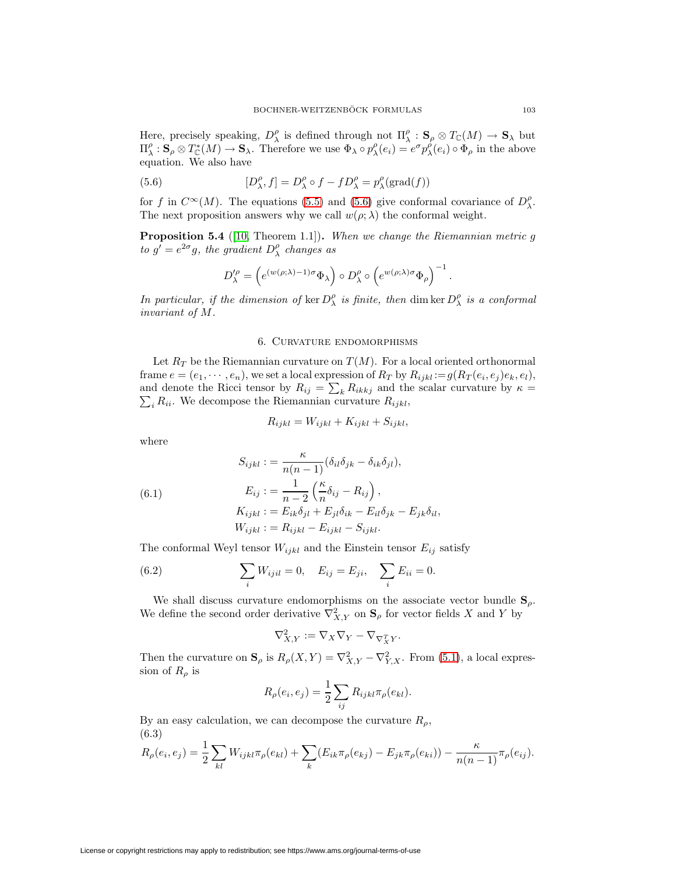Here, precisely speaking,  $D^{\rho}_{\lambda}$  is defined through not  $\Pi^{\rho}_{\lambda} : \mathbf{S}_{\rho} \otimes T_{\mathbb{C}}(M) \to \mathbf{S}_{\lambda}$  but  $\Pi_{\lambda}^{\rho}: \mathbf{S}_{\rho} \otimes T_{\mathbb{C}}^{*}(M) \to \mathbf{S}_{\lambda}$ . Therefore we use  $\Phi_{\lambda} \circ p_{\lambda}^{\rho}(e_i) = e^{\sigma} p_{\lambda}^{\rho}(e_i) \circ \Phi_{\rho}$  in the above equation. We also have

<span id="page-16-1"></span>(5.6) 
$$
[D_{\lambda}^{\rho}, f] = D_{\lambda}^{\rho} \circ f - f D_{\lambda}^{\rho} = p_{\lambda}^{\rho} (\text{grad}(f))
$$

<span id="page-16-4"></span>for f in  $C^{\infty}(M)$ . The equations [\(5.5\)](#page-15-1) and [\(5.6\)](#page-16-1) give conformal covariance of  $D^{\rho}_{\lambda}$ . The next proposition answers why we call  $w(\rho; \lambda)$  the conformal weight.

**Proposition 5.4** ([\[10,](#page-27-1) Theorem 1.1]). When we change the Riemannian metric g to  $g' = e^{2\sigma}g$ , the gradient  $D_{\lambda}^{\rho}$  changes as

$$
D_{\lambda}^{\prime \rho} = \left( e^{(w(\rho; \lambda) - 1)\sigma} \Phi_{\lambda} \right) \circ D_{\lambda}^{\rho} \circ \left( e^{w(\rho; \lambda)\sigma} \Phi_{\rho} \right)^{-1}.
$$

<span id="page-16-0"></span>In particular, if the dimension of  $\ker D^{\rho}_{\lambda}$  is finite, then dim  $\ker D^{\rho}_{\lambda}$  is a conformal invariant of M.

# 6. Curvature endomorphisms

Let  $R_T$  be the Riemannian curvature on  $T(M)$ . For a local oriented orthonormal frame  $e = (e_1, \dots, e_n)$ , we set a local expression of  $R_T$  by  $R_{ijkl} := g(R_T(e_i, e_j)e_k, e_l)$ , and denote the Ricci tensor by  $R_{ij} = \sum_k R_{ikkj}$  and the scalar curvature by  $\kappa =$  $\sum_i R_{ii}$ . We decompose the Riemannian curvature  $R_{ijkl}$ ,

$$
R_{ijkl} = W_{ijkl} + K_{ijkl} + S_{ijkl},
$$

<span id="page-16-5"></span>where

(6.1) 
$$
S_{ijkl} := \frac{\kappa}{n(n-1)} (\delta_{il}\delta_{jk} - \delta_{ik}\delta_{jl}),
$$

$$
E_{ij} := \frac{1}{n-2} \left( \frac{\kappa}{n} \delta_{ij} - R_{ij} \right),
$$

$$
K_{ijkl} := E_{ik}\delta_{jl} + E_{jl}\delta_{ik} - E_{il}\delta_{jk} - E_{jk}\delta_{il},
$$

$$
W_{ijkl} := R_{ijkl} - E_{ijkl} - S_{ijkl}.
$$

The conformal Weyl tensor  $W_{ijkl}$  and the Einstein tensor  $E_{ij}$  satisfy

(6.2) 
$$
\sum_{i} W_{ijil} = 0, \quad E_{ij} = E_{ji}, \quad \sum_{i} E_{ii} = 0.
$$

We shall discuss curvature endomorphisms on the associate vector bundle  $S_\rho$ . We define the second order derivative  $\nabla^2_{X,Y}$  on  $\mathbf{S}_{\rho}$  for vector fields X and Y by

<span id="page-16-3"></span>
$$
\nabla_{X,Y}^2 := \nabla_X \nabla_Y - \nabla_{\nabla_X^T Y}.
$$

Then the curvature on  $\mathbf{S}_{\rho}$  is  $R_{\rho}(X,Y) = \nabla^2_{X,Y} - \nabla^2_{Y,X}$ . From [\(5.1\)](#page-14-1), a local expression of  $R_\rho$  is

<span id="page-16-2"></span>
$$
R_{\rho}(e_i, e_j) = \frac{1}{2} \sum_{ij} R_{ijkl} \pi_{\rho}(e_{kl}).
$$

By an easy calculation, we can decompose the curvature  $R_{\rho}$ , (6.3)

$$
R_{\rho}(e_i, e_j) = \frac{1}{2} \sum_{kl} W_{ijkl} \pi_{\rho}(e_{kl}) + \sum_{k} (E_{ik} \pi_{\rho}(e_{kj}) - E_{jk} \pi_{\rho}(e_{ki})) - \frac{\kappa}{n(n-1)} \pi_{\rho}(e_{ij}).
$$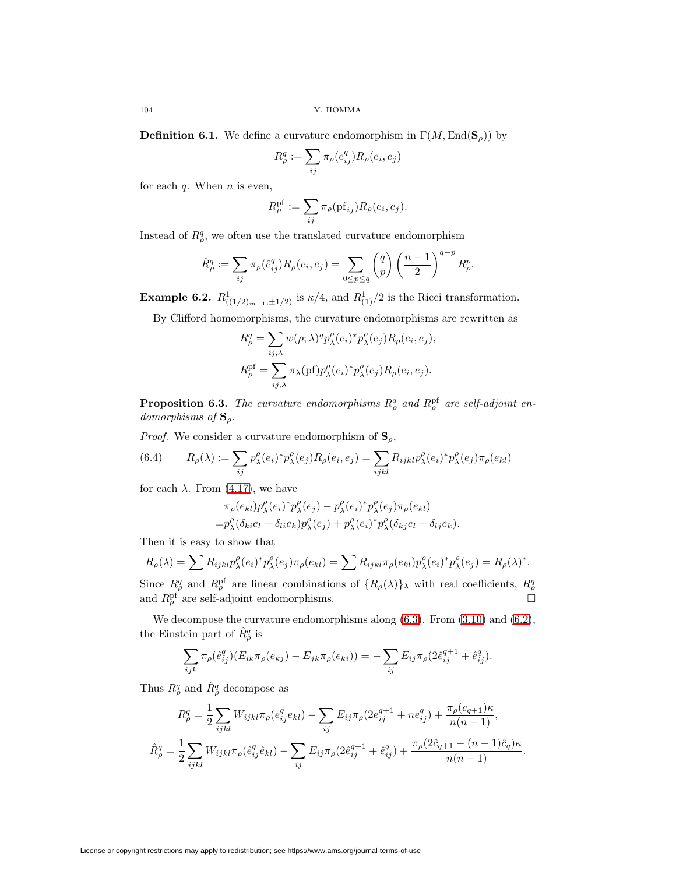**Definition 6.1.** We define a curvature endomorphism in  $\Gamma(M, \text{End}(\mathbf{S}_{\rho}))$  by

$$
R_{\rho}^{q} := \sum_{ij} \pi_{\rho}(e_{ij}^{q}) R_{\rho}(e_i, e_j)
$$

for each  $q$ . When  $n$  is even,

$$
R_{\rho}^{\mathrm{pf}} := \sum_{ij} \pi_{\rho}(\mathrm{pf}_{ij}) R_{\rho}(e_i, e_j).
$$

Instead of  $R^q_\rho$ , we often use the translated curvature endomorphism

$$
\hat{R}^q_\rho := \sum_{ij} \pi_\rho(\hat{e}_{ij}^q) R_\rho(e_i, e_j) = \sum_{0 \le p \le q} \binom{q}{p} \left(\frac{n-1}{2}\right)^{q-p} R^p_\rho.
$$

**Example 6.2.**  $R^1_{((1/2)_{m-1}, \pm 1/2)}$  is  $\kappa/4$ , and  $R^1_{(1)}/2$  is the Ricci transformation.

By Clifford homomorphisms, the curvature endomorphisms are rewritten as

$$
R_{\rho}^{q} = \sum_{ij,\lambda} w(\rho;\lambda)^{q} p_{\lambda}^{\rho}(e_{i})^{*} p_{\lambda}^{\rho}(e_{j}) R_{\rho}(e_{i},e_{j}),
$$
  
\n
$$
R_{\rho}^{\text{pf}} = \sum_{ij,\lambda} \pi_{\lambda}(\text{pf}) p_{\lambda}^{\rho}(e_{i})^{*} p_{\lambda}^{\rho}(e_{j}) R_{\rho}(e_{i},e_{j}).
$$

**Proposition 6.3.** The curvature endomorphisms  $R^q_\rho$  and  $R^{\text{pf}}_\rho$  are self-adjoint endomorphisms of **S**ρ.

*Proof.* We consider a curvature endomorphism of  $\mathbf{S}_{\rho}$ ,

(6.4) 
$$
R_{\rho}(\lambda) := \sum_{ij} p_{\lambda}^{\rho}(e_i)^* p_{\lambda}^{\rho}(e_j) R_{\rho}(e_i, e_j) = \sum_{ijkl} R_{ijkl} p_{\lambda}^{\rho}(e_i)^* p_{\lambda}^{\rho}(e_j) \pi_{\rho}(e_{kl})
$$

for each  $\lambda$ . From [\(4.17\)](#page-12-3), we have

<span id="page-17-0"></span>
$$
\pi_{\rho}(e_{kl})p_{\lambda}^{\rho}(e_i)^*p_{\lambda}^{\rho}(e_j) - p_{\lambda}^{\rho}(e_i)^*p_{\lambda}^{\rho}(e_j)\pi_{\rho}(e_{kl})
$$
  
=  $p_{\lambda}^{\rho}(\delta_{ki}e_l - \delta_{li}e_k)p_{\lambda}^{\rho}(e_j) + p_{\lambda}^{\rho}(e_i)^*p_{\lambda}^{\rho}(\delta_{kj}e_l - \delta_{lj}e_k).$ 

Then it is easy to show that

$$
R_{\rho}(\lambda) = \sum R_{ijkl} p_{\lambda}^{\rho}(e_i)^* p_{\lambda}^{\rho}(e_j) \pi_{\rho}(e_{kl}) = \sum R_{ijkl} \pi_{\rho}(e_{kl}) p_{\lambda}^{\rho}(e_i)^* p_{\lambda}^{\rho}(e_j) = R_{\rho}(\lambda)^*.
$$

Since  $R^q_\rho$  and  $R^{pf}_\rho$  are linear combinations of  $\{R_\rho(\lambda)\}_\lambda$  with real coefficients,  $R^q_\rho$  and  $R^{pf}_\rho$  are self-adjoint endomorphisms.

We decompose the curvature endomorphisms along  $(6.3)$ . From  $(3.10)$  and  $(6.2)$ , the Einstein part of  $\hat{R}^q_\rho$  is

$$
\sum_{ijk} \pi_{\rho}(\hat{e}_{ij}^q)(E_{ik}\pi_{\rho}(e_{kj}) - E_{jk}\pi_{\rho}(e_{ki})) = -\sum_{ij} E_{ij}\pi_{\rho}(2\hat{e}_{ij}^{q+1} + \hat{e}_{ij}^q).
$$

Thus  $R^q_\rho$  and  $\hat{R}^q_\rho$  decompose as

$$
R_{\rho}^{q} = \frac{1}{2} \sum_{ijkl} W_{ijkl} \pi_{\rho} (e_{ij}^{q} e_{kl}) - \sum_{ij} E_{ij} \pi_{\rho} (2e_{ij}^{q+1} + ne_{ij}^{q}) + \frac{\pi_{\rho} (c_{q+1}) \kappa}{n(n-1)},
$$
  

$$
\hat{R}_{\rho}^{q} = \frac{1}{2} \sum_{ijkl} W_{ijkl} \pi_{\rho} (\hat{e}_{ij}^{q} \hat{e}_{kl}) - \sum_{ij} E_{ij} \pi_{\rho} (2\hat{e}_{ij}^{q+1} + \hat{e}_{ij}^{q}) + \frac{\pi_{\rho} (2\hat{c}_{q+1} - (n-1)\hat{c}_{q}) \kappa}{n(n-1)}.
$$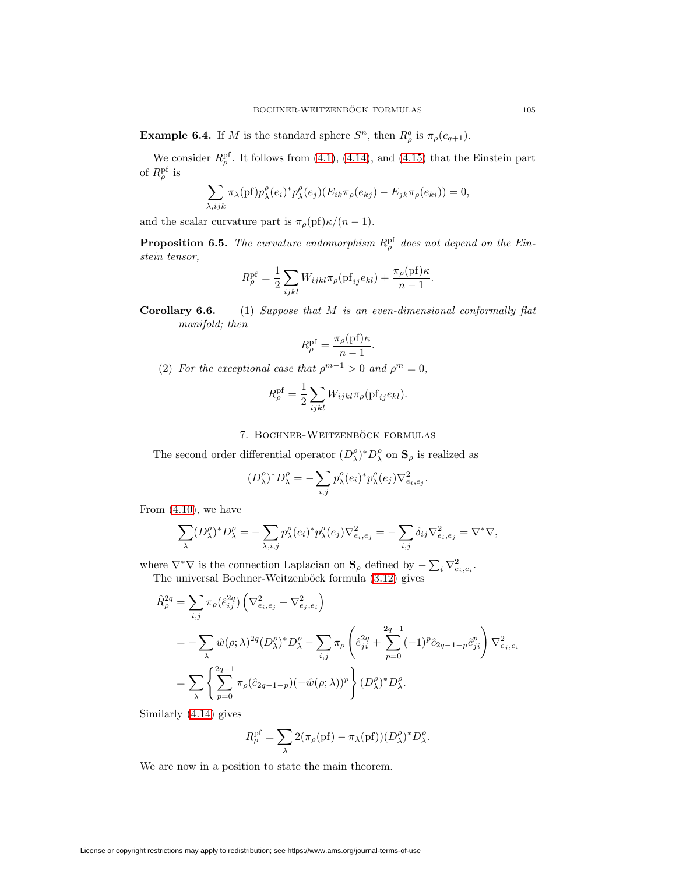**Example 6.4.** If M is the standard sphere  $S^n$ , then  $R^q_\rho$  is  $\pi_\rho(c_{q+1})$ .

We consider  $R_{\rho}^{\rm pf}$ . It follows from [\(4.1\)](#page-7-0), [\(4.14\)](#page-12-4), and [\(4.15\)](#page-12-5) that the Einstein part of  $R^{\rm pf}_{\rho}$  is

$$
\sum_{\lambda,ijk} \pi_{\lambda}(\text{pf}) p_{\lambda}^{\rho}(e_i)^* p_{\lambda}^{\rho}(e_j) (E_{ik} \pi_{\rho}(e_{kj}) - E_{jk} \pi_{\rho}(e_{ki})) = 0,
$$

<span id="page-18-0"></span>and the scalar curvature part is  $\pi_{\rho}(\text{pf})\kappa/(n-1)$ .

**Proposition 6.5.** The curvature endomorphism  $R^{\text{pf}}_{\rho}$  does not depend on the Einstein tensor,

$$
R_{\rho}^{\rm pf} = \frac{1}{2} \sum_{ijkl} W_{ijkl} \pi_{\rho}(\mathbf{pf}_{ij} e_{kl}) + \frac{\pi_{\rho}(\mathbf{pf})\kappa}{n-1}.
$$

**Corollary 6.6.** (1) Suppose that M is an even-dimensional conformally flat manifold; then

$$
R_{\rho}^{\rm pf} = \frac{\pi_{\rho}(\mathrm{pf})\kappa}{n-1}.
$$

(2) For the exceptional case that  $\rho^{m-1} > 0$  and  $\rho^m = 0$ ,

$$
R_{\rho}^{\rm pf} = \frac{1}{2} \sum_{ijkl} W_{ijkl} \pi_{\rho}(\mathbf{pf}_{ij} e_{kl}).
$$

# 7. BOCHNER-WEITZENBÖCK FORMULAS

<span id="page-18-1"></span>The second order differential operator  $(D_{\lambda}^{\rho})^* D_{\lambda}^{\rho}$  on  $\mathbf{S}_{\rho}$  is realized as

$$
(D_{\lambda}^{\rho})^* D_{\lambda}^{\rho} = -\sum_{i,j} p_{\lambda}^{\rho} (e_i)^* p_{\lambda}^{\rho} (e_j) \nabla_{e_i, e_j}^2.
$$

From [\(4.10\)](#page-10-1), we have

$$
\sum_{\lambda} (D_{\lambda}^{\rho})^* D_{\lambda}^{\rho} = -\sum_{\lambda, i,j} p_{\lambda}^{\rho} (e_i)^* p_{\lambda}^{\rho} (e_j) \nabla_{e_i, e_j}^2 = -\sum_{i,j} \delta_{ij} \nabla_{e_i, e_j}^2 = \nabla^* \nabla,
$$

where  $\nabla^*\nabla$  is the connection Laplacian on  $\mathbf{S}_{\rho}$  defined by  $-\sum_i \nabla^2_{e_i, e_i}$ . The universal Bochner-Weitzenböck formula  $(3.12)$  gives

$$
\hat{R}_{\rho}^{2q} = \sum_{i,j} \pi_{\rho} (\hat{e}_{ij}^{2q}) \left( \nabla_{e_i, e_j}^2 - \nabla_{e_j, e_i}^2 \right)
$$
\n
$$
= -\sum_{\lambda} \hat{w}(\rho; \lambda)^{2q} (D_{\lambda}^{\rho})^* D_{\lambda}^{\rho} - \sum_{i,j} \pi_{\rho} \left( \hat{e}_{ji}^{2q} + \sum_{p=0}^{2q-1} (-1)^p \hat{c}_{2q-1-p} \hat{e}_{ji}^p \right) \nabla_{e_j, e_i}^2
$$
\n
$$
= \sum_{\lambda} \left\{ \sum_{p=0}^{2q-1} \pi_{\rho} (\hat{c}_{2q-1-p}) (-\hat{w}(\rho; \lambda))^p \right\} (D_{\lambda}^{\rho})^* D_{\lambda}^{\rho}.
$$

Similarly [\(4.14\)](#page-12-4) gives

$$
R_{\rho}^{\rm pf} = \sum_{\lambda} 2(\pi_{\rho}(\mathrm{pf}) - \pi_{\lambda}(\mathrm{pf}))(D_{\lambda}^{\rho})^* D_{\lambda}^{\rho}.
$$

<span id="page-18-2"></span>We are now in a position to state the main theorem.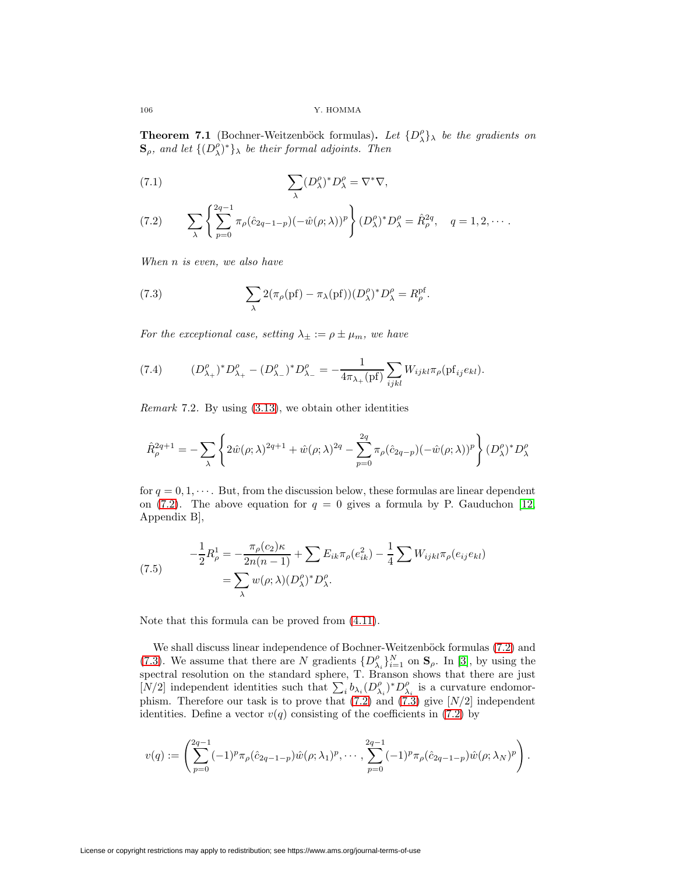**Theorem 7.1** (Bochner-Weitzenböck formulas). Let  $\{D_{\lambda}^{\rho}\}\$  be the gradients on  $\mathbf{S}_{\rho}$ , and let  $\{(\overrightarrow{D_{\lambda}})^*\}_{\lambda}$  be their formal adjoints. Then

<span id="page-19-3"></span>(7.1) 
$$
\sum_{\lambda} (D_{\lambda}^{\rho})^* D_{\lambda}^{\rho} = \nabla^* \nabla,
$$

<span id="page-19-0"></span>(7.2) 
$$
\sum_{\lambda} \left\{ \sum_{p=0}^{2q-1} \pi_{\rho} (\hat{c}_{2q-1-p}) (-\hat{w}(\rho; \lambda))^p \right\} (D_{\lambda}^{\rho})^* D_{\lambda}^{\rho} = \hat{R}_{\rho}^{2q}, \quad q = 1, 2, \cdots.
$$

<span id="page-19-1"></span>When n is even, we also have

(7.3) 
$$
\sum_{\lambda} 2(\pi_{\rho}(\text{pf}) - \pi_{\lambda}(\text{pf}))(D_{\lambda}^{\rho})^* D_{\lambda}^{\rho} = R_{\rho}^{\text{pf}}.
$$

<span id="page-19-2"></span>For the exceptional case, setting  $\lambda_{\pm} := \rho \pm \mu_m$ , we have

(7.4) 
$$
(D_{\lambda_+}^{\rho})^* D_{\lambda_+}^{\rho} - (D_{\lambda_-}^{\rho})^* D_{\lambda_-}^{\rho} = -\frac{1}{4\pi_{\lambda_+}(\text{pf})} \sum_{ijkl} W_{ijkl} \pi_{\rho}(\text{pf}_{ij} e_{kl}).
$$

Remark 7.2. By using [\(3.13\)](#page-5-2), we obtain other identities

$$
\hat{R}^{2q+1}_\rho = - \sum_\lambda \left\{ 2 \hat{w}(\rho;\lambda)^{2q+1} + \hat{w}(\rho;\lambda)^{2q} - \sum_{p=0}^{2q} \pi_\rho(\hat{c}_{2q-p}) (-\hat{w}(\rho;\lambda))^p \right\} (D^\rho_\lambda)^* D^\rho_\lambda
$$

<span id="page-19-4"></span>for  $q = 0, 1, \dots$ . But, from the discussion below, these formulas are linear dependent on [\(7.2\)](#page-19-0). The above equation for  $q = 0$  gives a formula by P. Gauduchon [\[12,](#page-27-14) Appendix B],

(7.5) 
$$
-\frac{1}{2}R_{\rho}^{1} = -\frac{\pi_{\rho}(c_{2})\kappa}{2n(n-1)} + \sum E_{ik}\pi_{\rho}(e_{ik}^{2}) - \frac{1}{4}\sum W_{ijkl}\pi_{\rho}(e_{ij}e_{kl})
$$

$$
= \sum_{\lambda} w(\rho;\lambda)(D_{\lambda}^{\rho})^{*}D_{\lambda}^{\rho}.
$$

Note that this formula can be proved from [\(4.11\)](#page-10-2).

We shall discuss linear independence of Bochner-Weitzenböck formulas [\(7.2\)](#page-19-0) and [\(7.3\)](#page-19-1). We assume that there are N gradients  $\{D_{\lambda_i}^{\rho}\}_{i=1}^N$  on  $\mathbf{S}_{\rho}$ . In [\[3\]](#page-26-0), by using the spectral resolution on the standard sphere, T. Branson shows that there are just [N/2] independent identities such that  $\sum_i b_{\lambda_i} (D_{\lambda_i}^{\rho})^* D_{\lambda_i}^{\rho}$  is a curvature endomorphism. Therefore our task is to prove that  $(7.2)$  and  $(7.3)$  give  $[N/2]$  independent identities. Define a vector  $v(q)$  consisting of the coefficients in [\(7.2\)](#page-19-0) by

$$
v(q) := \left(\sum_{p=0}^{2q-1} (-1)^p \pi_\rho(\hat{c}_{2q-1-p}) \hat{w}(\rho; \lambda_1)^p, \cdots, \sum_{p=0}^{2q-1} (-1)^p \pi_\rho(\hat{c}_{2q-1-p}) \hat{w}(\rho; \lambda_N)^p\right).
$$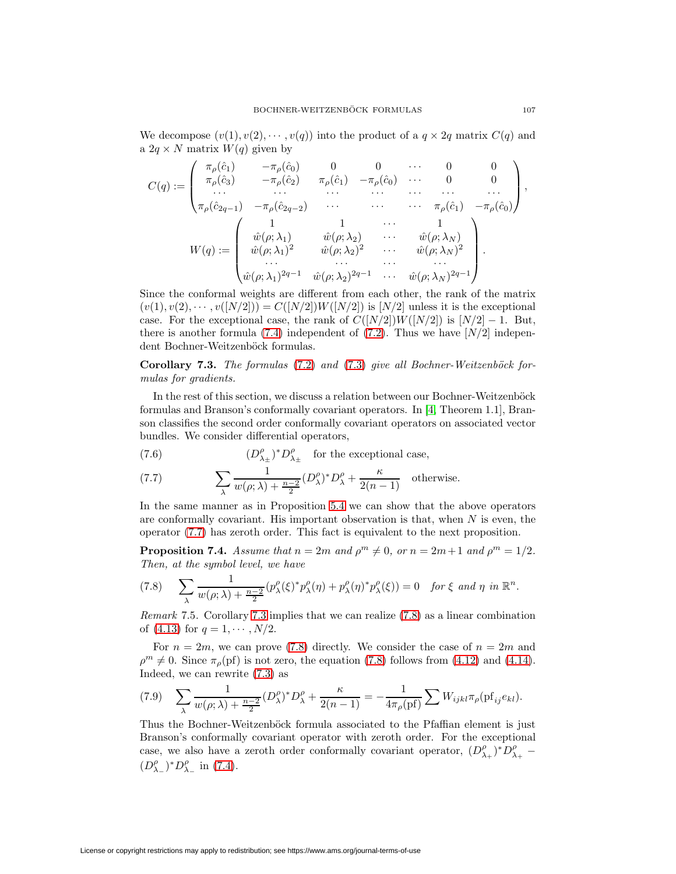We decompose  $(v(1), v(2), \dots, v(q))$  into the product of a  $q \times 2q$  matrix  $C(q)$  and a  $2q \times N$  matrix  $W(q)$  given by

$$
C(q) := \begin{pmatrix} \pi_{\rho}(\hat{c}_{1}) & -\pi_{\rho}(\hat{c}_{0}) & 0 & 0 & \cdots & 0 & 0 \\ \pi_{\rho}(\hat{c}_{3}) & -\pi_{\rho}(\hat{c}_{2}) & \pi_{\rho}(\hat{c}_{1}) & -\pi_{\rho}(\hat{c}_{0}) & \cdots & 0 & 0 \\ \cdots & \cdots & \cdots & \cdots & \cdots & \cdots & \cdots \\ \pi_{\rho}(\hat{c}_{2q-1}) & -\pi_{\rho}(\hat{c}_{2q-2}) & \cdots & \cdots & \pi_{\rho}(\hat{c}_{1}) & -\pi_{\rho}(\hat{c}_{0}) \end{pmatrix},
$$

$$
W(q) := \begin{pmatrix} 1 & 1 & \cdots & 1 \\ \hat{w}(\rho; \lambda_{1}) & \hat{w}(\rho; \lambda_{2}) & \cdots & \hat{w}(\rho; \lambda_{N}) \\ \hat{w}(\rho; \lambda_{1})^{2} & \hat{w}(\rho; \lambda_{2})^{2} & \cdots & \hat{w}(\rho; \lambda_{N})^{2} \\ \cdots & \cdots & \cdots & \cdots & \cdots \\ \hat{w}(\rho; \lambda_{1})^{2q-1} & \hat{w}(\rho; \lambda_{2})^{2q-1} & \cdots & \hat{w}(\rho; \lambda_{N})^{2q-1} \end{pmatrix}.
$$

Since the conformal weights are different from each other, the rank of the matrix  $(v(1), v(2), \cdots, v(N/2])) = C([N/2])W([N/2])$  is  $[N/2]$  unless it is the exceptional case. For the exceptional case, the rank of  $C([N/2])W([N/2])$  is  $[N/2]-1$ . But, there is another formula [\(7.4\)](#page-19-2) independent of [\(7.2\)](#page-19-0). Thus we have  $[N/2]$  independent Bochner-Weitzenböck formulas.

<span id="page-20-1"></span>**Corollary 7.3.** The formulas [\(7.2\)](#page-19-0) and [\(7.3\)](#page-19-1) give all Bochner-Weitzenböck formulas for gradients.

In the rest of this section, we discuss a relation between our Bochner-Weitzenböck formulas and Branson's conformally covariant operators. In [\[4,](#page-26-1) Theorem 1.1], Branson classifies the second order conformally covariant operators on associated vector bundles. We consider differential operators,

(7.6) 
$$
(D_{\lambda_{\pm}}^{\rho})^* D_{\lambda_{\pm}}^{\rho} \text{ for the exceptional case,}
$$

<span id="page-20-0"></span>(7.7) 
$$
\sum_{\lambda} \frac{1}{w(\rho;\lambda) + \frac{n-2}{2}} (D_{\lambda}^{\rho})^* D_{\lambda}^{\rho} + \frac{\kappa}{2(n-1)} \quad \text{otherwise.}
$$

In the same manner as in Proposition [5.4](#page-16-4) we can show that the above operators are conformally covariant. His important observation is that, when  $N$  is even, the operator [\(7.7\)](#page-20-0) has zeroth order. This fact is equivalent to the next proposition.

**Proposition 7.4.** Assume that  $n = 2m$  and  $\rho^m \neq 0$ , or  $n = 2m+1$  and  $\rho^m = 1/2$ . Then, at the symbol level, we have

<span id="page-20-2"></span>
$$
(7.8)\qquad \sum_{\lambda}\frac{1}{w(\rho;\lambda)+\frac{n-2}{2}}(p^{\rho}_{\lambda}(\xi)^*p^{\rho}_{\lambda}(\eta)+p^{\rho}_{\lambda}(\eta)^*p^{\rho}_{\lambda}(\xi))=0 \quad \text{for } \xi \text{ and } \eta \text{ in } \mathbb{R}^n.
$$

Remark 7.5. Corollary [7.3](#page-20-1) implies that we can realize [\(7.8\)](#page-20-2) as a linear combination of [\(4.13\)](#page-11-0) for  $q = 1, \dots, N/2$ .

For  $n = 2m$ , we can prove [\(7.8\)](#page-20-2) directly. We consider the case of  $n = 2m$  and  $\rho^m \neq 0$ . Since  $\pi_{\rho}(\text{pf})$  is not zero, the equation [\(7.8\)](#page-20-2) follows from [\(4.12\)](#page-11-1) and [\(4.14\)](#page-12-4). Indeed, we can rewrite [\(7.3\)](#page-19-1) as

$$
(7.9) \quad \sum_{\lambda} \frac{1}{w(\rho;\lambda) + \frac{n-2}{2}} (D_{\lambda}^{\rho})^* D_{\lambda}^{\rho} + \frac{\kappa}{2(n-1)} = -\frac{1}{4\pi_{\rho}(\text{pf})} \sum W_{ijkl} \pi_{\rho}(\text{pf}_{ij} e_{kl}).
$$

Thus the Bochner-Weitzenböck formula associated to the Pfaffian element is just Branson's conformally covariant operator with zeroth order. For the exceptional case, we also have a zeroth order conformally covariant operator,  $(D_{\lambda_+}^{\rho})^* D_{\lambda_+}^{\rho}$  –  $(D_{\lambda_-}^{\rho})^* D_{\lambda_-}^{\rho}$  in [\(7.4\)](#page-19-2).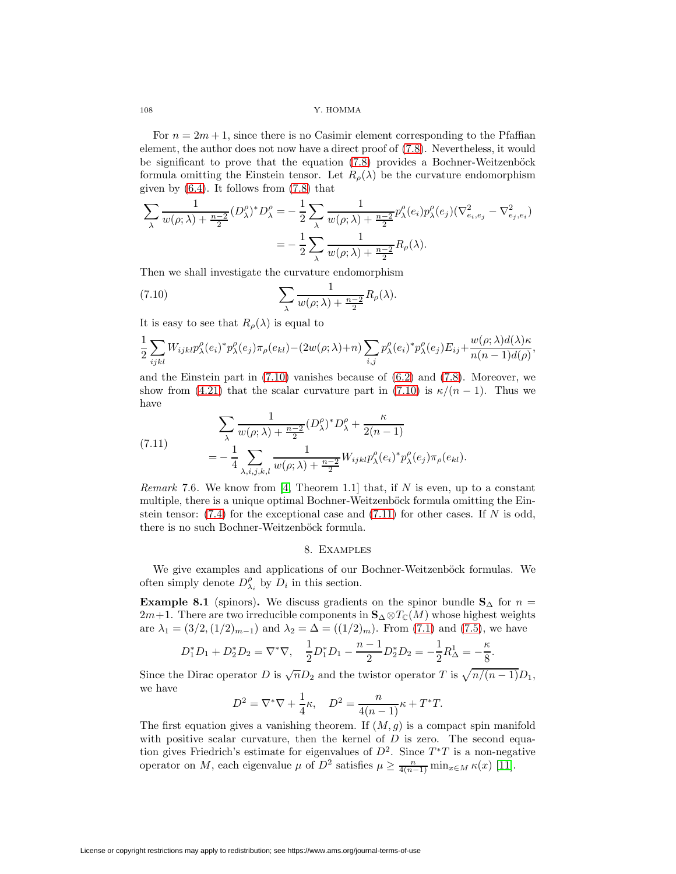For  $n = 2m + 1$ , since there is no Casimir element corresponding to the Pfaffian element, the author does not now have a direct proof of [\(7.8\)](#page-20-2). Nevertheless, it would be significant to prove that the equation  $(7.8)$  provides a Bochner-Weitzenböck formula omitting the Einstein tensor. Let  $R_{\rho}(\lambda)$  be the curvature endomorphism given by  $(6.4)$ . It follows from  $(7.8)$  that

$$
\sum_{\lambda} \frac{1}{w(\rho;\lambda) + \frac{n-2}{2}} (D_{\lambda}^{\rho})^* D_{\lambda}^{\rho} = -\frac{1}{2} \sum_{\lambda} \frac{1}{w(\rho;\lambda) + \frac{n-2}{2}} p_{\lambda}^{\rho}(e_i) p_{\lambda}^{\rho}(e_j) (\nabla_{e_i,e_j}^2 - \nabla_{e_j,e_i}^2)
$$

$$
= -\frac{1}{2} \sum_{\lambda} \frac{1}{w(\rho;\lambda) + \frac{n-2}{2}} R_{\rho}(\lambda).
$$

Then we shall investigate the curvature endomorphism

<span id="page-21-1"></span>(7.10) 
$$
\sum_{\lambda} \frac{1}{w(\rho; \lambda) + \frac{n-2}{2}} R_{\rho}(\lambda).
$$

It is easy to see that  $R_o(\lambda)$  is equal to

$$
\frac{1}{2}\sum_{ijkl}W_{ijkl}p_{\lambda}^{\rho}(e_i)^*p_{\lambda}^{\rho}(e_j)\pi_{\rho}(e_{kl})-(2w(\rho;\lambda)+n)\sum_{i,j}p_{\lambda}^{\rho}(e_i)^*p_{\lambda}^{\rho}(e_j)E_{ij}+\frac{w(\rho;\lambda)d(\lambda)\kappa}{n(n-1)d(\rho)},
$$

and the Einstein part in  $(7.10)$  vanishes because of  $(6.2)$  and  $(7.8)$ . Moreover, we show from [\(4.21\)](#page-13-2) that the scalar curvature part in [\(7.10\)](#page-21-1) is  $\kappa/(n-1)$ . Thus we have

<span id="page-21-2"></span>(7.11) 
$$
\sum_{\lambda} \frac{1}{w(\rho;\lambda) + \frac{n-2}{2}} (D_{\lambda}^{\rho})^* D_{\lambda}^{\rho} + \frac{\kappa}{2(n-1)}
$$

$$
= -\frac{1}{4} \sum_{\lambda,i,j,k,l} \frac{1}{w(\rho;\lambda) + \frac{n-2}{2}} W_{ijkl} p_{\lambda}^{\rho}(e_i)^* p_{\lambda}^{\rho}(e_j) \pi_{\rho}(e_{kl}).
$$

*Remark* 7.6. We know from [\[4,](#page-26-1) Theorem 1.1] that, if N is even, up to a constant multiple, there is a unique optimal Bochner-Weitzenböck formula omitting the Einstein tensor:  $(7.4)$  for the exceptional case and  $(7.11)$  for other cases. If N is odd, there is no such Bochner-Weitzenböck formula.

### 8. Examples

<span id="page-21-0"></span>We give examples and applications of our Bochner-Weitzenböck formulas. We often simply denote  $D^{\rho}_{\lambda_i}$  by  $D_i$  in this section.

**Example 8.1** (spinors). We discuss gradients on the spinor bundle  $\mathbf{S}_{\Delta}$  for  $n =$  $2m+1$ . There are two irreducible components in  $\mathbf{S}_{\Delta} \otimes T_{\mathbb{C}}(M)$  whose highest weights are  $\lambda_1 = (3/2, (1/2)_{m-1})$  and  $\lambda_2 = \Delta = ((1/2)_m)$ . From [\(7.1\)](#page-19-3) and [\(7.5\)](#page-19-4), we have

$$
D_1^* D_1 + D_2^* D_2 = \nabla^* \nabla, \quad \frac{1}{2} D_1^* D_1 - \frac{n-1}{2} D_2^* D_2 = -\frac{1}{2} R_\Delta^1 = -\frac{\kappa}{8}.
$$

Since the Dirac operator D is  $\sqrt{n}D_2$  and the twistor operator T is  $\sqrt{n/(n-1)}D_1$ , we have

$$
D^{2} = \nabla^{*}\nabla + \frac{1}{4}\kappa, \quad D^{2} = \frac{n}{4(n-1)}\kappa + T^{*}T.
$$

The first equation gives a vanishing theorem. If  $(M, g)$  is a compact spin manifold with positive scalar curvature, then the kernel of  $D$  is zero. The second equation gives Friedrich's estimate for eigenvalues of  $D^2$ . Since  $T^*T$  is a non-negative operator on M, each eigenvalue  $\mu$  of  $D^2$  satisfies  $\mu \ge \frac{n}{4(n-1)} \min_{x \in M} \kappa(x)$  [\[11\]](#page-27-13).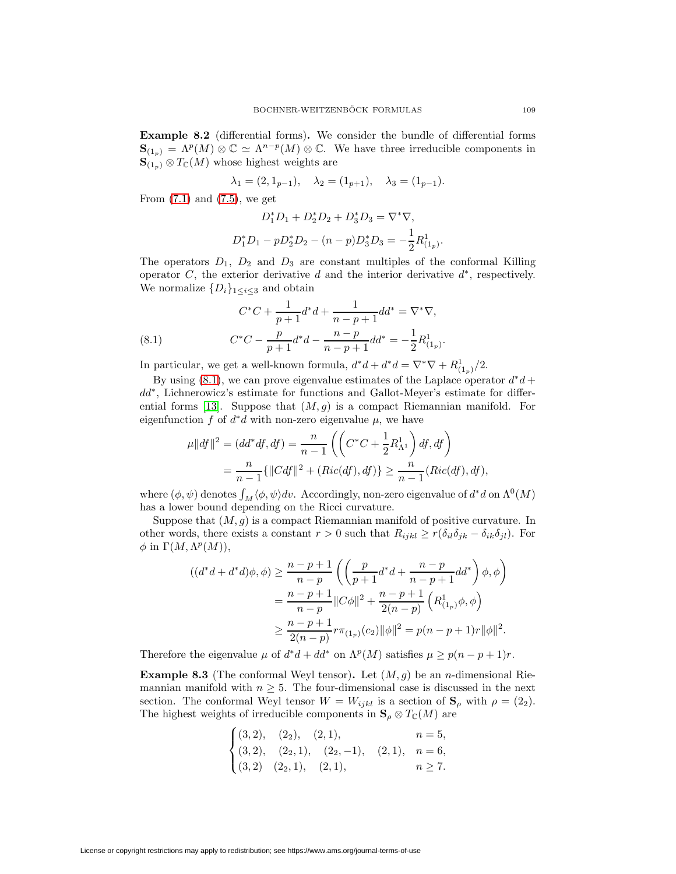<span id="page-22-1"></span>**Example 8.2** (differential forms)**.** We consider the bundle of differential forms  $\mathbf{S}_{(1_p)} = \Lambda^p(M) \otimes \mathbb{C} \simeq \Lambda^{n-p}(M) \otimes \mathbb{C}$ . We have three irreducible components in  $\mathbf{S}_{(1_n)} \otimes T_{\mathbb{C}}(M)$  whose highest weights are

$$
\lambda_1 = (2, 1_{p-1}), \quad \lambda_2 = (1_{p+1}), \quad \lambda_3 = (1_{p-1}).
$$

From  $(7.1)$  and  $(7.5)$ , we get

$$
D_1^* D_1 + D_2^* D_2 + D_3^* D_3 = \nabla^* \nabla,
$$
  

$$
D_1^* D_1 - p D_2^* D_2 - (n - p) D_3^* D_3 = -\frac{1}{2} R_{(1_p)}^1.
$$

The operators  $D_1$ ,  $D_2$  and  $D_3$  are constant multiples of the conformal Killing operator C, the exterior derivative d and the interior derivative  $d^*$ , respectively. We normalize  $\{D_i\}_{1\leq i\leq 3}$  and obtain

<span id="page-22-0"></span>(8.1) 
$$
C^*C + \frac{1}{p+1}d^*d + \frac{1}{n-p+1}dd^* = \nabla^*\nabla,
$$

$$
C^*C - \frac{p}{p+1}d^*d - \frac{n-p}{n-p+1}dd^* = -\frac{1}{2}R^1_{(1_p)}.
$$

In particular, we get a well-known formula,  $d^*d + d^*d = \nabla^* \nabla + R^1_{(1_p)}/2$ .

By using [\(8.1\)](#page-22-0), we can prove eigenvalue estimates of the Laplace operator  $d^*d$  + dd∗, Lichnerowicz's estimate for functions and Gallot-Meyer's estimate for differ-ential forms [\[13\]](#page-27-15). Suppose that  $(M, g)$  is a compact Riemannian manifold. For eigenfunction f of  $d^*d$  with non-zero eigenvalue  $\mu$ , we have

$$
\mu||df||^2 = (dd^*df, df) = \frac{n}{n-1} \left( \left( C^*C + \frac{1}{2} R_{\Lambda^1}^1 \right) df, df \right)
$$
  
= 
$$
\frac{n}{n-1} \{ ||Cdf||^2 + (Ric(df), df) \} \ge \frac{n}{n-1} (Ric(df), df),
$$

where  $(\phi, \psi)$  denotes  $\int_M \langle \phi, \psi \rangle dv$ . Accordingly, non-zero eigenvalue of  $d^*d$  on  $\Lambda^0(M)$ has a lower bound depending on the Ricci curvature.

Suppose that  $(M, g)$  is a compact Riemannian manifold of positive curvature. In other words, there exists a constant  $r > 0$  such that  $R_{ijkl} \geq r(\delta_{il}\delta_{jk} - \delta_{ik}\delta_{jl})$ . For  $\phi$  in  $\Gamma(M,\Lambda^p(M)),$ 

$$
((d^*d + d^*d)\phi, \phi) \ge \frac{n-p+1}{n-p} \left( \left( \frac{p}{p+1} d^*d + \frac{n-p}{n-p+1} dd^* \right) \phi, \phi \right)
$$
  
= 
$$
\frac{n-p+1}{n-p} ||C\phi||^2 + \frac{n-p+1}{2(n-p)} \left( R^1_{(1_p)} \phi, \phi \right)
$$
  

$$
\ge \frac{n-p+1}{2(n-p)} r \pi_{(1_p)}(c_2) ||\phi||^2 = p(n-p+1)r ||\phi||^2.
$$

Therefore the eigenvalue  $\mu$  of  $d^*d + dd^*$  on  $\Lambda^p(M)$  satisfies  $\mu \geq p(n-p+1)r$ .

**Example 8.3** (The conformal Weyl tensor). Let  $(M, g)$  be an *n*-dimensional Riemannian manifold with  $n \geq 5$ . The four-dimensional case is discussed in the next section. The conformal Weyl tensor  $W = W_{ijkl}$  is a section of  $S_\rho$  with  $\rho = (2_2)$ . The highest weights of irreducible components in  $\mathbf{S}_{\rho} \otimes T_{\mathbb{C}}(M)$  are

$$
\begin{cases}\n(3,2), & (2_2), (2,1), & n=5, \\
(3,2), (2_2,1), (2_2,-1), (2,1), & n=6, \\
(3,2), (2_2,1), (2,1), & n \ge 7.\n\end{cases}
$$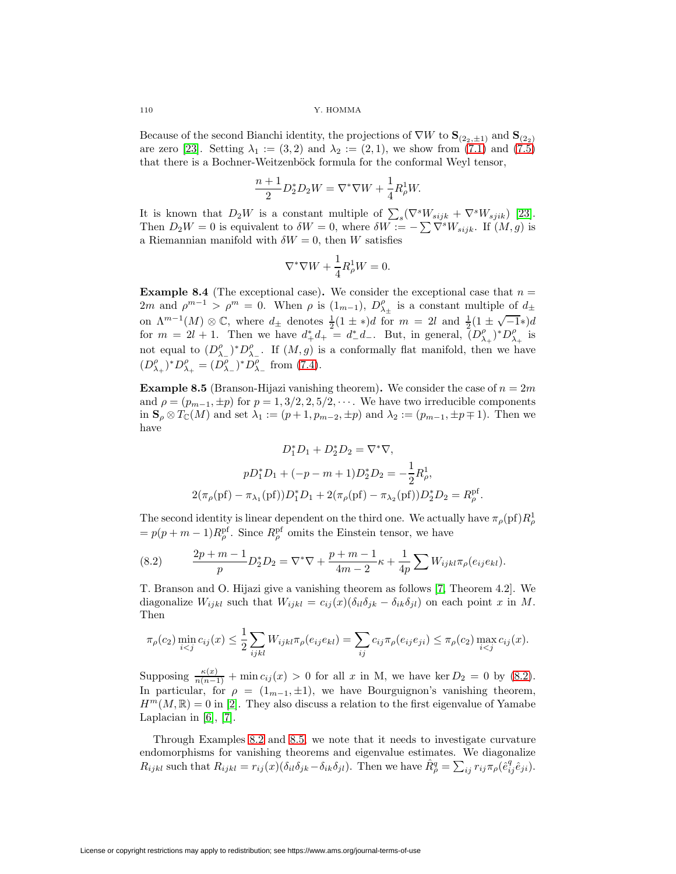$110$   $\,$  Y. HOMMA

Because of the second Bianchi identity, the projections of  $\nabla W$  to  $\mathbf{S}_{(2,2,\pm 1)}$  and  $\mathbf{S}_{(2,2)}$ are zero [\[23\]](#page-27-16). Setting  $\lambda_1 := (3, 2)$  and  $\lambda_2 := (2, 1)$ , we show from [\(7.1\)](#page-19-3) and [\(7.5\)](#page-19-4) that there is a Bochner-Weitzenböck formula for the conformal Weyl tensor,

$$
\frac{n+1}{2}D_2^*D_2W = \nabla^*\nabla W + \frac{1}{4}R^1_{\rho}W.
$$

It is known that  $D_2W$  is a constant multiple of  $\sum_s(\nabla^sW_{sijk} + \nabla^sW_{sjik})$  [\[23\]](#page-27-16). Then  $D_2W = 0$  is equivalent to  $\delta W = 0$ , where  $\delta W := -\sum \nabla^s W_{sijk}$ . If  $(M, g)$  is a Riemannian manifold with  $\delta W = 0$ , then W satisfies

$$
\nabla^* \nabla W + \frac{1}{4} R^1_\rho W = 0.
$$

**Example 8.4** (The exceptional case). We consider the exceptional case that  $n =$ 2m and  $\rho^{m-1} > \rho^m = 0$ . When  $\rho$  is  $(1_{m-1}), D^{\rho}_{\lambda_{\pm}}$  is a constant multiple of  $d_{\pm}$ on  $\Lambda^{m-1}(M) \otimes \mathbb{C}$ , where  $d_{\pm}$  denotes  $\frac{1}{2}(1 \pm *)d$  for  $m = 2l$  and  $\frac{1}{2}(1 \pm \sqrt{-1}*)d$ for  $m = 2l + 1$ . Then we have  $d^*_+ d^+_+ = d^*_- d^-_+$ . But, in general,  $(D_{\lambda_+}^\rho)^* D_{\lambda_+}^\rho$  is not equal to  $(D_{\lambda_{-}}^{\rho})^*D_{\lambda_{-}}^{\rho}$ . If  $(M,g)$  is a conformally flat manifold, then we have  $(D_{\lambda_+}^{\rho})^* D_{\lambda_+}^{\rho} = (D_{\lambda_-}^{\rho})^* D_{\lambda_-}^{\rho}$  from [\(7.4\)](#page-19-2).

<span id="page-23-1"></span>**Example 8.5** (Branson-Hijazi vanishing theorem). We consider the case of  $n = 2m$ and  $\rho = (p_{m-1}, \pm p)$  for  $p = 1, 3/2, 2, 5/2, \cdots$ . We have two irreducible components in  $\mathbf{S}_{\rho} \otimes T_{\mathbb{C}}(M)$  and set  $\lambda_1 := (p+1, p_{m-2}, \pm p)$  and  $\lambda_2 := (p_{m-1}, \pm p \mp 1)$ . Then we have

<span id="page-23-0"></span>
$$
D_1^* D_1 + D_2^* D_2 = \nabla^* \nabla,
$$
  
\n
$$
p D_1^* D_1 + (-p - m + 1) D_2^* D_2 = -\frac{1}{2} R_\rho^1,
$$
  
\n
$$
2(\pi_\rho(\text{pf}) - \pi_{\lambda_1}(\text{pf})) D_1^* D_1 + 2(\pi_\rho(\text{pf}) - \pi_{\lambda_2}(\text{pf})) D_2^* D_2 = R_\rho^{\text{pf}}.
$$

The second identity is linear dependent on the third one. We actually have  $\pi_\rho(\mathrm{pf})R^1_\rho$  $= p(p+m-1)R_{\rho}^{\rm pf}$ . Since  $R_{\rho}^{\rm pf}$  omits the Einstein tensor, we have

(8.2) 
$$
\frac{2p+m-1}{p}D_2^*D_2 = \nabla^*\nabla + \frac{p+m-1}{4m-2}\kappa + \frac{1}{4p}\sum W_{ijkl}\pi_\rho(e_{ij}e_{kl}).
$$

T. Branson and O. Hijazi give a vanishing theorem as follows [\[7,](#page-27-4) Theorem 4.2]. We diagonalize  $W_{ijkl}$  such that  $W_{ijkl} = c_{ij}(x)(\delta_{il}\delta_{jk} - \delta_{ik}\delta_{jl})$  on each point x in M. Then

$$
\pi_{\rho}(c_2) \min_{i < j} c_{ij}(x) \le \frac{1}{2} \sum_{ijkl} W_{ijkl} \pi_{\rho}(e_{ij} e_{kl}) = \sum_{ij} c_{ij} \pi_{\rho}(e_{ij} e_{ji}) \le \pi_{\rho}(c_2) \max_{i < j} c_{ij}(x).
$$

Supposing  $\frac{\kappa(x)}{n(n-1)}$  + min  $c_{ij}(x) > 0$  for all x in M, we have ker  $D_2 = 0$  by [\(8.2\)](#page-23-0). In particular, for  $\rho = (1_{m-1}, \pm 1)$ , we have Bourguignon's vanishing theorem,  $H^m(M,\mathbb{R})=0$  in [\[2\]](#page-26-2). They also discuss a relation to the first eigenvalue of Yamabe Laplacian in [\[6\]](#page-27-3), [\[7\]](#page-27-4).

Through Examples [8.2](#page-22-1) and [8.5,](#page-23-1) we note that it needs to investigate curvature endomorphisms for vanishing theorems and eigenvalue estimates. We diagonalize  $R_{ijkl}$  such that  $R_{ijkl} = r_{ij}(x)(\delta_{il}\delta_{jk} - \delta_{ik}\delta_{jl})$ . Then we have  $\hat{R}^q_\rho = \sum_{ij} r_{ij} \pi_\rho (\hat{e}^q_{ij}\hat{e}_{ji})$ .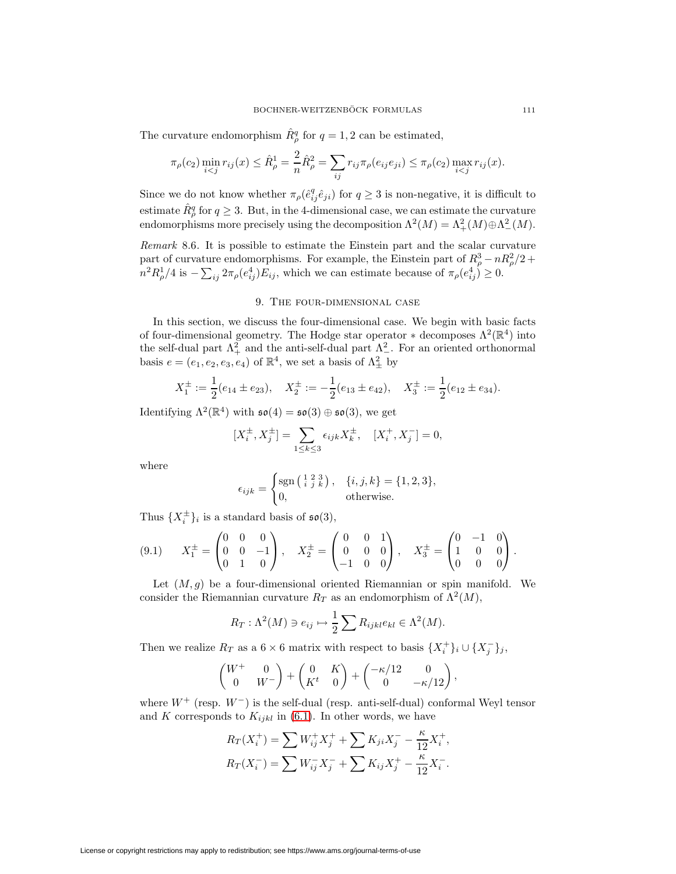The curvature endomorphism  $\hat{R}^q_\rho$  for  $q=1,2$  can be estimated,

$$
\pi_{\rho}(c_2) \min_{i < j} r_{ij}(x) \leq \hat{R}_{\rho}^1 = \frac{2}{n} \hat{R}_{\rho}^2 = \sum_{ij} r_{ij} \pi_{\rho}(e_{ij} e_{ji}) \leq \pi_{\rho}(c_2) \max_{i < j} r_{ij}(x).
$$

Since we do not know whether  $\pi_{\rho}(\hat{e}_{ij}^q \hat{e}_{ji})$  for  $q \geq 3$  is non-negative, it is difficult to estimate  $\hat{R}_{\rho}^q$  for  $q \geq 3$ . But, in the 4-dimensional case, we can estimate the curvature endomorphisms more precisely using the decomposition  $\Lambda^2(M) = \Lambda^2_+(M) \oplus \Lambda^2_-(M)$ .

Remark 8.6. It is possible to estimate the Einstein part and the scalar curvature part of curvature endomorphisms. For example, the Einstein part of  $R^3_\rho - nR^2_\rho/2$  +  $n^2 R_{\rho}^1/4$  is  $-\sum_{ij} 2\pi_{\rho}(e_{ij}^4) E_{ij}$ , which we can estimate because of  $\pi_{\rho}(e_{ij}^4) \geq 0$ .

## 9. The four-dimensional case

In this section, we discuss the four-dimensional case. We begin with basic facts of four-dimensional geometry. The Hodge star operator  $\ast$  decomposes  $\Lambda^2(\mathbb{R}^4)$  into the self-dual part  $\Lambda^2_+$  and the anti-self-dual part  $\Lambda^2_-$ . For an oriented orthonormal basis  $e = (e_1, e_2, e_3, e_4)$  of  $\mathbb{R}^4$ , we set a basis of  $\Lambda^2_{\pm}$  by

$$
X_1^{\pm} := \frac{1}{2}(e_{14} \pm e_{23}), \quad X_2^{\pm} := -\frac{1}{2}(e_{13} \pm e_{42}), \quad X_3^{\pm} := \frac{1}{2}(e_{12} \pm e_{34}).
$$

Identifying  $\Lambda^2(\mathbb{R}^4)$  with  $\mathfrak{so}(4) = \mathfrak{so}(3) \oplus \mathfrak{so}(3)$ , we get

$$
[X_i^{\pm}, X_j^{\pm}] = \sum_{1 \le k \le 3} \epsilon_{ijk} X_k^{\pm}, \quad [X_i^+, X_j^-] = 0,
$$

where

<span id="page-24-0"></span>
$$
\epsilon_{ijk} = \begin{cases} \text{sgn}\left(\begin{smallmatrix} 1 & 2 & 3 \\ i & j & k \end{smallmatrix}\right), & \{i, j, k\} = \{1, 2, 3\}, \\ 0, & \text{otherwise.} \end{cases}
$$

Thus  $\{X_i^{\pm}\}_i$  is a standard basis of  $\mathfrak{so}(3)$ ,

$$
(9.1) \t X_1^{\pm} = \begin{pmatrix} 0 & 0 & 0 \\ 0 & 0 & -1 \\ 0 & 1 & 0 \end{pmatrix}, \t X_2^{\pm} = \begin{pmatrix} 0 & 0 & 1 \\ 0 & 0 & 0 \\ -1 & 0 & 0 \end{pmatrix}, \t X_3^{\pm} = \begin{pmatrix} 0 & -1 & 0 \\ 1 & 0 & 0 \\ 0 & 0 & 0 \end{pmatrix}.
$$

Let  $(M, g)$  be a four-dimensional oriented Riemannian or spin manifold. We consider the Riemannian curvature  $R_T$  as an endomorphism of  $\Lambda^2(M)$ ,

$$
R_T: \Lambda^2(M) \ni e_{ij} \mapsto \frac{1}{2} \sum R_{ijkl} e_{kl} \in \Lambda^2(M).
$$

Then we realize  $R_T$  as a 6 × 6 matrix with respect to basis  $\{X_i^+\}_i \cup \{X_j^-\}_j$ ,

$$
\begin{pmatrix} W^+ & 0 \ 0 & W^- \end{pmatrix} + \begin{pmatrix} 0 & K \ K^t & 0 \end{pmatrix} + \begin{pmatrix} -\kappa/12 & 0 \ 0 & -\kappa/12 \end{pmatrix},
$$

where  $W^+$  (resp.  $W^-$ ) is the self-dual (resp. anti-self-dual) conformal Weyl tensor and K corresponds to  $K_{ijkl}$  in [\(6.1\)](#page-16-5). In other words, we have

$$
R_T(X_i^+) = \sum W_{ij}^+ X_j^+ + \sum K_{ji} X_j^- - \frac{\kappa}{12} X_i^+,
$$
  

$$
R_T(X_i^-) = \sum W_{ij}^- X_j^- + \sum K_{ij} X_j^+ - \frac{\kappa}{12} X_i^-.
$$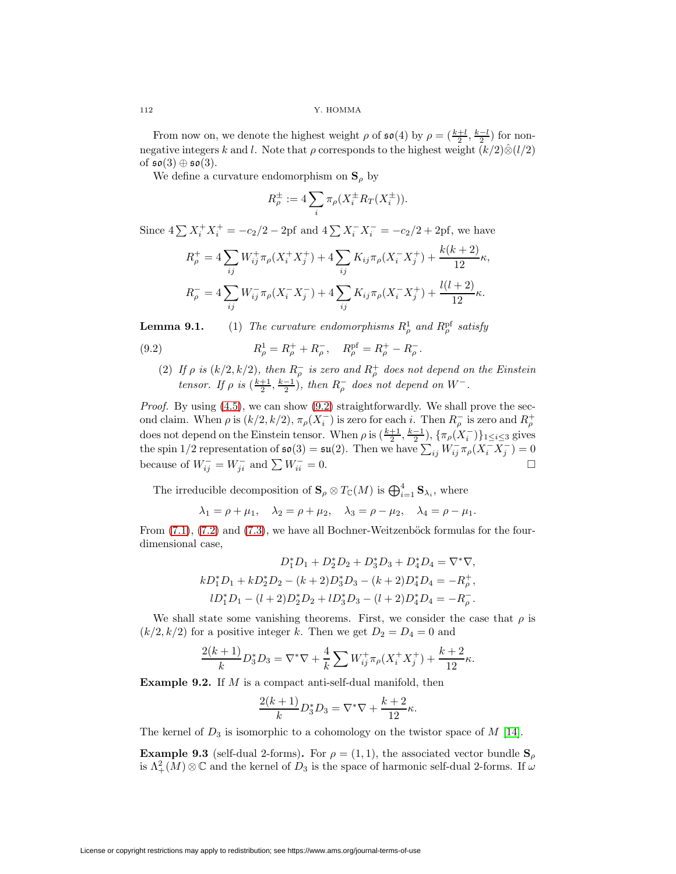From now on, we denote the highest weight  $\rho$  of  $\mathfrak{so}(4)$  by  $\rho = (\frac{k+l}{2}, \frac{k-l}{2})$  for nonnegative integers k and l. Note that  $\rho$  corresponds to the highest weight  $(k/2)\hat{\otimes}(l/2)$ of  $\mathfrak{so}(3) \oplus \mathfrak{so}(3)$ .

We define a curvature endomorphism on  $S_\rho$  by

<span id="page-25-0"></span>
$$
R_{\rho}^{\pm} := 4 \sum_{i} \pi_{\rho} (X_i^{\pm} R_T (X_i^{\pm})).
$$

Since  $4\sum X_i^+ X_i^+ = -c_2/2 - 2p$ f and  $4\sum X_i^- X_i^- = -c_2/2 + 2p$ f, we have

$$
R_{\rho}^{+} = 4 \sum_{ij} W_{ij}^{+} \pi_{\rho} (X_{i}^{+} X_{j}^{+}) + 4 \sum_{ij} K_{ij} \pi_{\rho} (X_{i}^{-} X_{j}^{+}) + \frac{k(k+2)}{12} \kappa,
$$
  

$$
R_{\rho}^{-} = 4 \sum_{ij} W_{ij}^{-} \pi_{\rho} (X_{i}^{-} X_{j}^{-}) + 4 \sum_{ij} K_{ij} \pi_{\rho} (X_{i}^{-} X_{j}^{+}) + \frac{l(l+2)}{12} \kappa.
$$

**Lemma 9.1.** (1) The curvature endomorphisms  $R^1_\rho$  and  $R^{\text{pf}}_\rho$  satisfy

(9.2) 
$$
R_{\rho}^{1} = R_{\rho}^{+} + R_{\rho}^{-}, \quad R_{\rho}^{\text{pf}} = R_{\rho}^{+} - R_{\rho}^{-}.
$$

(2) If  $\rho$  is  $(k/2, k/2)$ , then  $R_{\rho}^-$  is zero and  $R_{\rho}^+$  does not depend on the Einstein tensor. If  $\rho$  is  $(\frac{k+1}{2}, \frac{k-1}{2})$ , then  $R_{\rho}^-$  does not depend on  $W^-$ .

Proof. By using  $(4.5)$ , we can show  $(9.2)$  straightforwardly. We shall prove the second claim. When  $\rho$  is  $(k/2, k/2), \pi_{\rho}(X_i^{-})$  is zero for each i. Then  $R_{\rho}^{-}$  is zero and  $R_{\rho}^{+}$ does not depend on the Einstein tensor. When  $\rho$  is  $(\frac{k+1}{2}, \frac{k-1}{2}), \{\pi_\rho(X_i^{-})\}_{1 \leq i \leq 3}$  gives the spin 1/2 representation of  $\mathfrak{so}(3) = \mathfrak{su}(2)$ . Then we have  $\sum_{ij} W_{ij}^- \pi_\rho (X_i^- X_j^-) = 0$ because of  $W_{ij}^- = W_{ji}^-$  and  $\sum W_{ii}^- = 0$ .

The irreducible decomposition of  $S_\rho \otimes T_\mathbb{C}(M)$  is  $\bigoplus_{i=1}^4 S_{\lambda_i}$ , where

$$
\lambda_1 = \rho + \mu_1, \quad \lambda_2 = \rho + \mu_2, \quad \lambda_3 = \rho - \mu_2, \quad \lambda_4 = \rho - \mu_1.
$$

From  $(7.1)$ ,  $(7.2)$  and  $(7.3)$ , we have all Bochner-Weitzenböck formulas for the fourdimensional case,

$$
D_1^*D_1 + D_2^*D_2 + D_3^*D_3 + D_4^*D_4 = \nabla^*\nabla,
$$
  
\n
$$
kD_1^*D_1 + kD_2^*D_2 - (k+2)D_3^*D_3 - (k+2)D_4^*D_4 = -R_p^+,
$$
  
\n
$$
lD_1^*D_1 - (l+2)D_2^*D_2 + lD_3^*D_3 - (l+2)D_4^*D_4 = -R_p^-.
$$

We shall state some vanishing theorems. First, we consider the case that  $\rho$  is  $(k/2, k/2)$  for a positive integer k. Then we get  $D_2 = D_4 = 0$  and

$$
\frac{2(k+1)}{k}D_3^*D_3 = \nabla^*\nabla + \frac{4}{k}\sum W^+_{ij}\pi_\rho(X^+_iX^+_j) + \frac{k+2}{12}\kappa.
$$

**Example 9.2.** If M is a compact anti-self-dual manifold, then

$$
\frac{2(k+1)}{k}D_3^*D_3 = \nabla^*\nabla + \frac{k+2}{12}\kappa.
$$

The kernel of  $D_3$  is isomorphic to a cohomology on the twistor space of M [\[14\]](#page-27-17).

**Example 9.3** (self-dual 2-forms). For  $\rho = (1, 1)$ , the associated vector bundle  $S_\rho$ is  $\Lambda^2_+(M)\otimes\mathbb{C}$  and the kernel of  $D_3$  is the space of harmonic self-dual 2-forms. If  $\omega$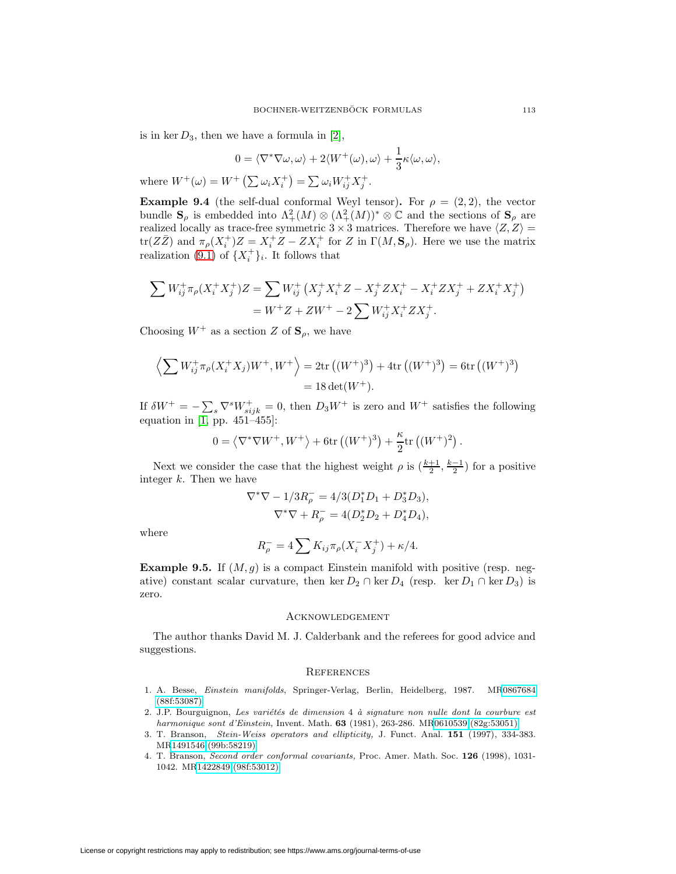is in ker  $D_3$ , then we have a formula in [\[2\]](#page-26-2),

$$
0 = \langle \nabla^* \nabla \omega, \omega \rangle + 2 \langle W^+(\omega), \omega \rangle + \frac{1}{3} \kappa \langle \omega, \omega \rangle,
$$

where  $W^{+}(\omega) = W^{+}(\sum \omega_{i}X_{i}^{+}) = \sum \omega_{i}W_{ij}^{+}X_{j}^{+}.$ 

**Example 9.4** (the self-dual conformal Weyl tensor). For  $\rho = (2, 2)$ , the vector bundle  $\mathbf{S}_{\rho}$  is embedded into  $\Lambda^2_+(M) \otimes (\Lambda^2_+(M))^* \otimes \mathbb{C}$  and the sections of  $\mathbf{S}_{\rho}$  are realized locally as trace-free symmetric  $3 \times 3$  matrices. Therefore we have  $\langle Z, Z \rangle =$ tr( $Z\bar{Z}$ ) and  $\pi_{\rho}(X_i^+)Z = X_i^+Z - ZX_i^+$  for Z in  $\Gamma(M, \mathbf{S}_{\rho})$ . Here we use the matrix realization [\(9.1\)](#page-24-0) of  $\{X_i^+\}_i$ . It follows that

$$
\sum W_{ij}^+ \pi_\rho (X_i^+ X_j^+) Z = \sum W_{ij}^+ (X_j^+ X_i^+ Z - X_j^+ Z X_i^+ - X_i^+ Z X_j^+ + Z X_i^+ X_j^+)
$$
  
=  $W^+ Z + Z W^+ - 2 \sum W_{ij}^+ X_i^+ Z X_j^+.$ 

Choosing  $W^+$  as a section Z of  $\mathbf{S}_{\rho}$ , we have

$$
\left\langle \sum W_{ij}^{+} \pi_{\rho} (X_{i}^{+} X_{j}) W^{+}, W^{+} \right\rangle = 2 \text{tr} \left( (W^{+})^{3} \right) + 4 \text{tr} \left( (W^{+})^{3} \right) = 6 \text{tr} \left( (W^{+})^{3} \right)
$$
  
= 18 \text{det}(W^{+}).

If  $\delta W^+ = -\sum_s \nabla^s W^+_{sijk} = 0$ , then  $D_3 W^+$  is zero and  $W^+$  satisfies the following equation in  $[1, pp. 451-455]$  $[1, pp. 451-455]$ :

$$
0 = \left\langle \nabla^* \nabla W^+, W^+ \right\rangle + 6 \text{tr} \left( (W^+)^3 \right) + \frac{\kappa}{2} \text{tr} \left( (W^+)^2 \right).
$$

Next we consider the case that the highest weight  $\rho$  is  $(\frac{k+1}{2}, \frac{k-1}{2})$  for a positive integer  $k$ . Then we have

$$
\nabla^*\nabla - 1/3R_{\rho}^- = 4/3(D_1^*D_1 + D_3^*D_3),
$$
  

$$
\nabla^*\nabla + R_{\rho}^- = 4(D_2^*D_2 + D_4^*D_4),
$$

where

$$
R_{\rho}^{-} = 4 \sum K_{ij} \pi_{\rho} (X_{i}^{-} X_{j}^{+}) + \kappa/4.
$$

**Example 9.5.** If  $(M, g)$  is a compact Einstein manifold with positive (resp. negative) constant scalar curvature, then ker  $D_2 \cap \text{ker } D_4$  (resp. ker  $D_1 \cap \text{ker } D_3$ ) is zero.

### Acknowledgement

The author thanks David M. J. Calderbank and the referees for good advice and suggestions.

### **REFERENCES**

- <span id="page-26-3"></span>1. A. Besse, Einstein manifolds, Springer-Verlag, Berlin, Heidelberg, 1987. M[R0867684](http://www.ams.org/mathscinet-getitem?mr=0867684) [\(88f:53087\)](http://www.ams.org/mathscinet-getitem?mr=0867684)
- <span id="page-26-2"></span>2. J.P. Bourguignon, Les variétés de dimension 4 à signature non nulle dont la courbure est harmonique sont d'Einstein, Invent. Math. **63** (1981), 263-286. M[R0610539 \(82g:53051\)](http://www.ams.org/mathscinet-getitem?mr=0610539)
- <span id="page-26-0"></span>3. T. Branson, Stein-Weiss operators and ellipticity, J. Funct. Anal. **151** (1997), 334-383. M[R1491546 \(99b:58219\)](http://www.ams.org/mathscinet-getitem?mr=1491546)
- <span id="page-26-1"></span>4. T. Branson, Second order conformal covariants, Proc. Amer. Math. Soc. **126** (1998), 1031- 1042. M[R1422849 \(98f:53012\)](http://www.ams.org/mathscinet-getitem?mr=1422849)